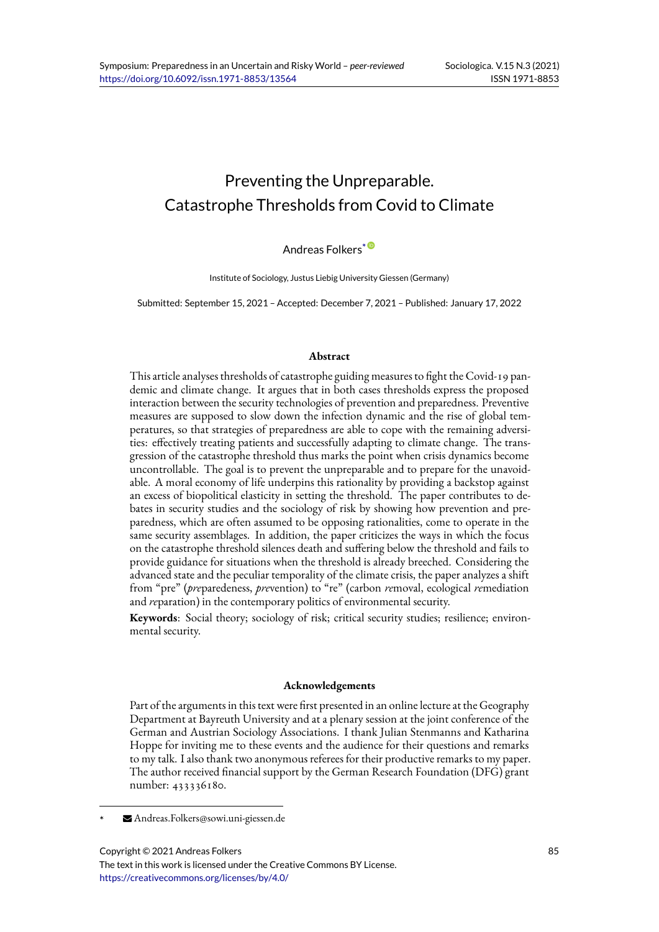# Preventing the Unpreparable. Catastrophe Thresholds from Covid to Climate

## Andreas Folkers<sup>\*</sub></sup>

Institute of Sociology, Justus Liebig University Giessen (Germany)

Submitted: September 15, 2021 – Accepted: December [7, 2](https://orcid.org/0000-0002-6721-3663)021 – Published: January 17, 2022

#### **Abstract**

This article analyses thresholds of catastrophe guiding measures to fight the Covid-19 pandemic and climate change. It argues that in both cases thresholds express the proposed interaction between the security technologies of prevention and preparedness. Preventive measures are supposed to slow down the infection dynamic and the rise of global temperatures, so that strategies of preparedness are able to cope with the remaining adversities: effectively treating patients and successfully adapting to climate change. The transgression of the catastrophe threshold thus marks the point when crisis dynamics become uncontrollable. The goal is to prevent the unpreparable and to prepare for the unavoidable. A moral economy of life underpins this rationality by providing a backstop against an excess of biopolitical elasticity in setting the threshold. The paper contributes to debates in security studies and the sociology of risk by showing how prevention and preparedness, which are often assumed to be opposing rationalities, come to operate in the same security assemblages. In addition, the paper criticizes the ways in which the focus on the catastrophe threshold silences death and suffering below the threshold and fails to provide guidance for situations when the threshold is already breeched. Considering the advanced state and the peculiar temporality of the climate crisis, the paper analyzes a shift from "pre" (*pre*paredeness, *pre*vention) to "re" (carbon *re*moval, ecological *re*mediation and *re*paration) in the contemporary politics of environmental security.

**Keywords**: Social theory; sociology of risk; critical security studies; resilience; environmental security.

#### **Acknowledgements**

Part of the arguments in this text were first presented in an online lecture at the Geography Department at Bayreuth University and at a plenary session at the joint conference of the German and Austrian Sociology Associations. I thank Julian Stenmanns and Katharina Hoppe for inviting me to these events and the audience for their questions and remarks to my talk. I also thank two anonymous referees for their productive remarks to my paper. The author received financial support by the German Research Foundation (DFG) grant number: 433336180.

Copyright © 2021 Andreas Folkers

<sup>\*</sup> Andreas.Folkers@sowi.uni-giessen.de

The text in this work is licensed under the Creative Commons BY License. https://creativecommons.org/licenses/by/4.0/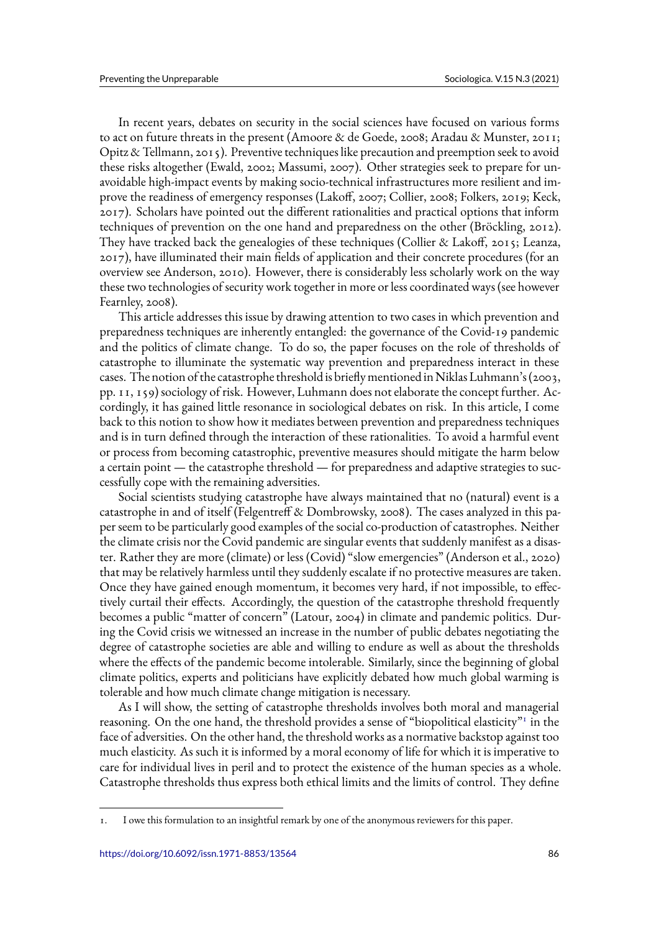In recent years, debates on security in the social sciences have focused on various forms to act on future threats in the present (Amoore & de Goede, 2008; Aradau & Munster, 2011; Opitz & Tellmann, 2015). Preventive techniques like precaution and preemption seek to avoid these risks altogether (Ewald, 2002; Massumi, 2007). Other strategies seek to prepare for unavoidable high-impact events by making socio-technical infrastructures more resilient and improve the readiness of emergency responses (Lakoff, 2007; Collier, 2008; Folkers, 2019; Keck, 2017). Scholars have pointed out the different rationalities and practical options that inform techniques of prevention on the one hand and preparedness on the other (Bröckling, 2012). They have tracked back the genealogies of these techniques (Collier & Lakoff, 2015; Leanza, 2017), have illuminated their main fields of application and their concrete procedures (for an overview see Anderson, 2010). However, there is considerably less scholarly work on the way these two technologies of security work together in more or less coordinated ways (see however Fearnley, 2008).

This article addresses this issue by drawing attention to two cases in which prevention and preparedness techniques are inherently entangled: the governance of the Covid-19 pandemic and the politics of climate change. To do so, the paper focuses on the role of thresholds of catastrophe to illuminate the systematic way prevention and preparedness interact in these cases. The notion of the catastrophe threshold is briefly mentioned in Niklas Luhmann's (2003, pp. 11, 159) sociology of risk. However, Luhmann does not elaborate the concept further. Accordingly, it has gained little resonance in sociological debates on risk. In this article, I come back to this notion to show how it mediates between prevention and preparedness techniques and is in turn defined through the interaction of these rationalities. To avoid a harmful event or process from becoming catastrophic, preventive measures should mitigate the harm below a certain point — the catastrophe threshold — for preparedness and adaptive strategies to successfully cope with the remaining adversities.

Social scientists studying catastrophe have always maintained that no (natural) event is a catastrophe in and of itself (Felgentreff & Dombrowsky, 2008). The cases analyzed in this paper seem to be particularly good examples of the social co-production of catastrophes. Neither the climate crisis nor the Covid pandemic are singular events that suddenly manifest as a disaster. Rather they are more (climate) or less (Covid) "slow emergencies" (Anderson et al., 2020) that may be relatively harmless until they suddenly escalate if no protective measures are taken. Once they have gained enough momentum, it becomes very hard, if not impossible, to effectively curtail their effects. Accordingly, the question of the catastrophe threshold frequently becomes a public "matter of concern" (Latour, 2004) in climate and pandemic politics. During the Covid crisis we witnessed an increase in the number of public debates negotiating the degree of catastrophe societies are able and willing to endure as well as about the thresholds where the effects of the pandemic become intolerable. Similarly, since the beginning of global climate politics, experts and politicians have explicitly debated how much global warming is tolerable and how much climate change mitigation is necessary.

As I will show, the setting of catastrophe thresholds involves both moral and managerial reasoning. On the one hand, the threshold provides a sense of "biopolitical elasticity"<sup>1</sup> in the face of adversities. On the other hand, the threshold works as a normative backstop against too much elasticity. As such it is informed by a moral economy of life for which it is imperative to care for individual lives in peril and to protect the existence of the human species as a whole. Catastrophe thresholds thus express both ethical limits and the limits of control. They define

<sup>1.</sup> I owe this formulation to an insightful remark by one of the anonymous reviewers for this paper.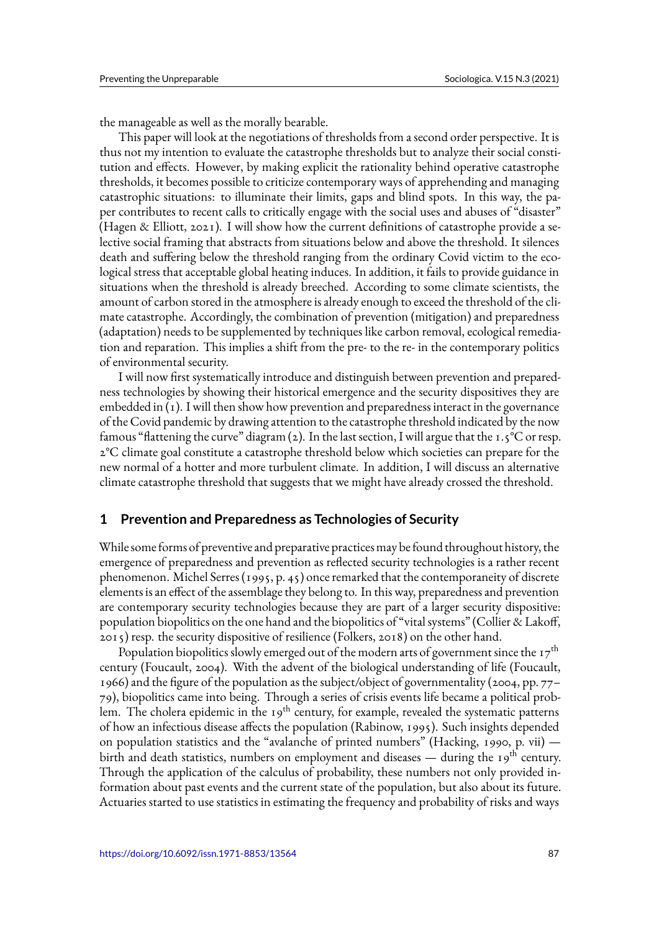the manageable as well as the morally bearable.

This paper will look at the negotiations of thresholds from a second order perspective. It is thus not my intention to evaluate the catastrophe thresholds but to analyze their social constitution and effects. However, by making explicit the rationality behind operative catastrophe thresholds, it becomes possible to criticize contemporary ways of apprehending and managing catastrophic situations: to illuminate their limits, gaps and blind spots. In this way, the paper contributes to recent calls to critically engage with the social uses and abuses of "disaster" (Hagen & Elliott, 2021). I will show how the current definitions of catastrophe provide a selective social framing that abstracts from situations below and above the threshold. It silences death and suffering below the threshold ranging from the ordinary Covid victim to the ecological stress that acceptable global heating induces. In addition, it fails to provide guidance in situations when the threshold is already breeched. According to some climate scientists, the amount of carbon stored in the atmosphere is already enough to exceed the threshold of the climate catastrophe. Accordingly, the combination of prevention (mitigation) and preparedness (adaptation) needs to be supplemented by techniques like carbon removal, ecological remediation and reparation. This implies a shift from the pre- to the re- in the contemporary politics of environmental security.

I will now first systematically introduce and distinguish between prevention and preparedness technologies by showing their historical emergence and the security dispositives they are embedded in (1). I will then show how prevention and preparedness interact in the governance of the Covid pandemic by drawing attention to the catastrophe threshold indicated by the now famous "flattening the curve" diagram (2). In the last section, I will argue that the 1.5 °C or resp. 2°C climate goal constitute a catastrophe threshold below which societies can prepare for the new normal of a hotter and more turbulent climate. In addition, I will discuss an alternative climate catastrophe threshold that suggests that we might have already crossed the threshold.

### **1 Prevention and Preparedness as Technologies of Security**

While some forms of preventive and preparative practices may be found throughout history, the emergence of preparedness and prevention as reflected security technologies is a rather recent phenomenon. Michel Serres (1995, p. 45) once remarked that the contemporaneity of discrete elements is an effect of the assemblage they belong to. In this way, preparedness and prevention are contemporary security technologies because they are part of a larger security dispositive: population biopolitics on the one hand and the biopolitics of "vital systems" (Collier & Lakoff, 2015) resp. the security dispositive of resilience (Folkers, 2018) on the other hand.

Population biopolitics slowly emerged out of the modern arts of government since the  $17^{th}$ century (Foucault, 2004). With the advent of the biological understanding of life (Foucault, 1966) and the figure of the population as the subject/object of governmentality (2004, pp. 77– 79), biopolitics came into being. Through a series of crisis events life became a political problem. The cholera epidemic in the  $19<sup>th</sup>$  century, for example, revealed the systematic patterns of how an infectious disease affects the population (Rabinow, 1995). Such insights depended on population statistics and the "avalanche of printed numbers" (Hacking, 1990, p. vii) birth and death statistics, numbers on employment and diseases — during the 19<sup>th</sup> century. Through the application of the calculus of probability, these numbers not only provided information about past events and the current state of the population, but also about its future. Actuaries started to use statistics in estimating the frequency and probability of risks and ways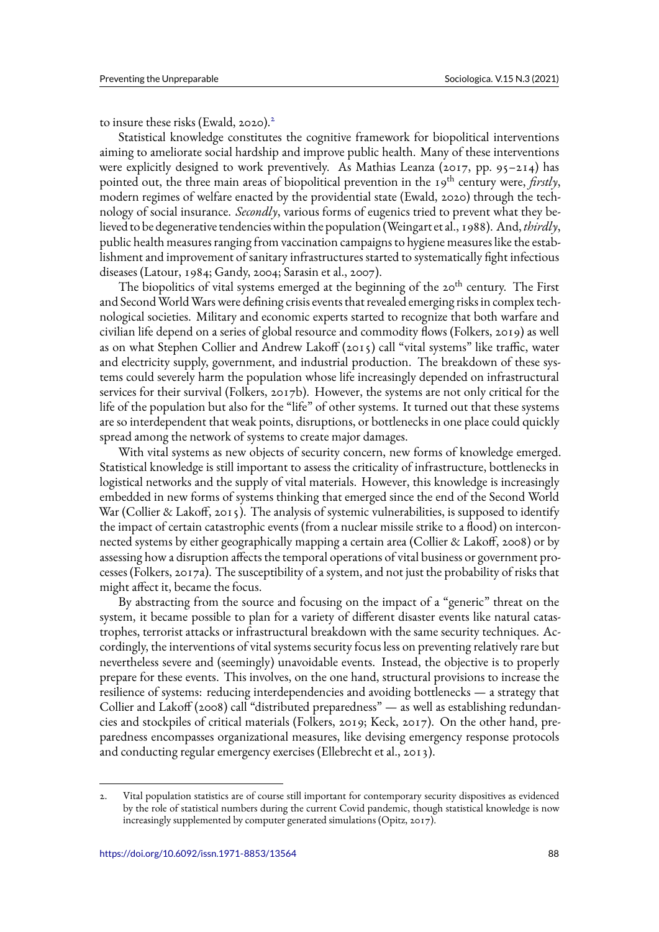to insure these risks (Ewald, 2020).<sup>2</sup>

Statistical knowledge constitutes the cognitive framework for biopolitical interventions aiming to ameliorate social hardship and improve public health. Many of these interventions were explicitly designed to work preventively. As Mathias Leanza (2017, pp. 95–214) has pointed out, the three main areas of biopolitical prevention in the 19<sup>th</sup> century were, *firstly*, modern regimes of welfare enacted by the providential state (Ewald, 2020) through the technology of social insurance. *Secondly*, various forms of eugenics tried to prevent what they believed to be degenerative tendencies within the population (Weingart et al., 1988). And, *thirdly*, public health measures ranging from vaccination campaigns to hygiene measures like the establishment and improvement of sanitary infrastructures started to systematically fight infectious diseases (Latour, 1984; Gandy, 2004; Sarasin et al., 2007).

The biopolitics of vital systems emerged at the beginning of the 20<sup>th</sup> century. The First and Second World Wars were defining crisis events that revealed emerging risks in complex technological societies. Military and economic experts started to recognize that both warfare and civilian life depend on a series of global resource and commodity flows (Folkers, 2019) as well as on what Stephen Collier and Andrew Lakoff (2015) call "vital systems" like traffic, water and electricity supply, government, and industrial production. The breakdown of these systems could severely harm the population whose life increasingly depended on infrastructural services for their survival (Folkers, 2017b). However, the systems are not only critical for the life of the population but also for the "life" of other systems. It turned out that these systems are so interdependent that weak points, disruptions, or bottlenecks in one place could quickly spread among the network of systems to create major damages.

With vital systems as new objects of security concern, new forms of knowledge emerged. Statistical knowledge is still important to assess the criticality of infrastructure, bottlenecks in logistical networks and the supply of vital materials. However, this knowledge is increasingly embedded in new forms of systems thinking that emerged since the end of the Second World War (Collier & Lakoff, 2015). The analysis of systemic vulnerabilities, is supposed to identify the impact of certain catastrophic events (from a nuclear missile strike to a flood) on interconnected systems by either geographically mapping a certain area (Collier & Lakoff, 2008) or by assessing how a disruption affects the temporal operations of vital business or government processes (Folkers, 2017a). The susceptibility of a system, and not just the probability of risks that might affect it, became the focus.

By abstracting from the source and focusing on the impact of a "generic" threat on the system, it became possible to plan for a variety of different disaster events like natural catastrophes, terrorist attacks or infrastructural breakdown with the same security techniques. Accordingly, the interventions of vital systems security focus less on preventing relatively rare but nevertheless severe and (seemingly) unavoidable events. Instead, the objective is to properly prepare for these events. This involves, on the one hand, structural provisions to increase the resilience of systems: reducing interdependencies and avoiding bottlenecks — a strategy that Collier and Lakoff (2008) call "distributed preparedness" — as well as establishing redundancies and stockpiles of critical materials (Folkers, 2019; Keck, 2017). On the other hand, preparedness encompasses organizational measures, like devising emergency response protocols and conducting regular emergency exercises (Ellebrecht et al., 2013).

<sup>2.</sup> Vital population statistics are of course still important for contemporary security dispositives as evidenced by the role of statistical numbers during the current Covid pandemic, though statistical knowledge is now increasingly supplemented by computer generated simulations (Opitz, 2017).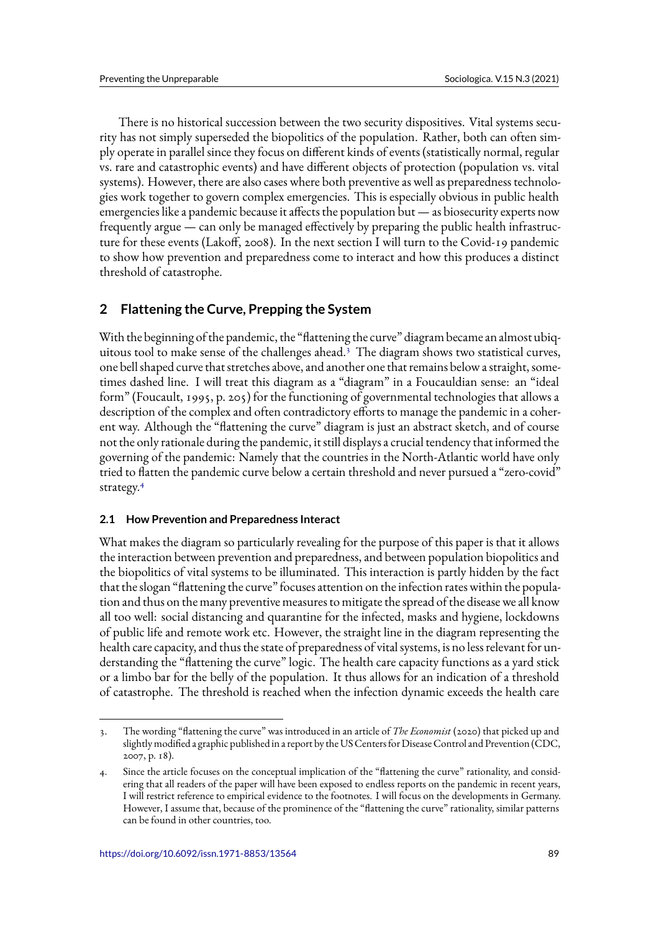There is no historical succession between the two security dispositives. Vital systems security has not simply superseded the biopolitics of the population. Rather, both can often simply operate in parallel since they focus on different kinds of events (statistically normal, regular vs. rare and catastrophic events) and have different objects of protection (population vs. vital systems). However, there are also cases where both preventive as well as preparedness technologies work together to govern complex emergencies. This is especially obvious in public health emergencies like a pandemic because it affects the population but — as biosecurity experts now frequently argue — can only be managed effectively by preparing the public health infrastructure for these events (Lakoff, 2008). In the next section I will turn to the Covid-19 pandemic to show how prevention and preparedness come to interact and how this produces a distinct threshold of catastrophe.

# **2 Flattening the Curve, Prepping the System**

With the beginning of the pandemic, the "flattening the curve" diagram became an almost ubiquitous tool to make sense of the challenges ahead.<sup>3</sup> The diagram shows two statistical curves, one bell shaped curve that stretches above, and another one that remains below a straight, sometimes dashed line. I will treat this diagram as a "diagram" in a Foucauldian sense: an "ideal form" (Foucault, 1995, p. 205) for the functioning of governmental technologies that allows a description of the complex and often contradictory efforts to manage the pandemic in a coherent way. Although the "flattening the curve" diagram is just an abstract sketch, and of course not the only rationale during the pandemic, it still displays a crucial tendency that informed the governing of the pandemic: Namely that the countries in the North-Atlantic world have only tried to flatten the pandemic curve below a certain threshold and never pursued a "zero-covid" strategy.<sup>4</sup>

## **2.1 How Prevention and Preparedness Interact**

What makes the diagram so particularly revealing for the purpose of this paper is that it allows the interaction between prevention and preparedness, and between population biopolitics and the biopolitics of vital systems to be illuminated. This interaction is partly hidden by the fact that the slogan "flattening the curve" focuses attention on the infection rates within the population and thus on the many preventive measures to mitigate the spread of the disease we all know all too well: social distancing and quarantine for the infected, masks and hygiene, lockdowns of public life and remote work etc. However, the straight line in the diagram representing the health care capacity, and thus the state of preparedness of vital systems, is no less relevant for understanding the "flattening the curve" logic. The health care capacity functions as a yard stick or a limbo bar for the belly of the population. It thus allows for an indication of a threshold of catastrophe. The threshold is reached when the infection dynamic exceeds the health care

<sup>3.</sup> The wording "flattening the curve" was introduced in an article of *The Economist* (2020) that picked up and slightly modified a graphic published in a report by the US Centers for Disease Control and Prevention (CDC, 2007, p. 18).

<sup>4.</sup> Since the article focuses on the conceptual implication of the "flattening the curve" rationality, and considering that all readers of the paper will have been exposed to endless reports on the pandemic in recent years, I will restrict reference to empirical evidence to the footnotes. I will focus on the developments in Germany. However, I assume that, because of the prominence of the "flattening the curve" rationality, similar patterns can be found in other countries, too.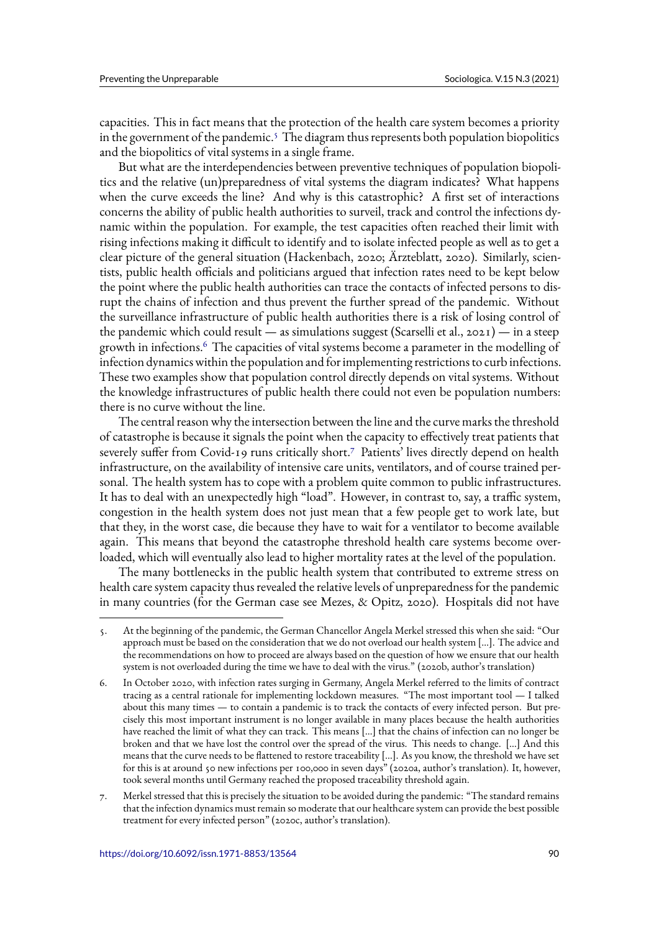capacities. This in fact means that the protection of the health care system becomes a priority in the government of the pandemic. $5$  The diagram thus represents both population biopolitics and the biopolitics of vital systems in a single frame.

But what are the interdependencies between preventive techniques of population biopolitics and the relative (un)preparedness of vital systems the diagram indicates? What happens when the curve exceeds the line? And why is this catastrophic? A first set of interactions concerns the ability of public health authorities to surveil, track and control the infections dynamic within the population. For example, the test capacities often reached their limit with rising infections making it difficult to identify and to isolate infected people as well as to get a clear picture of the general situation (Hackenbach, 2020; Ärzteblatt, 2020). Similarly, scientists, public health officials and politicians argued that infection rates need to be kept below the point where the public health authorities can trace the contacts of infected persons to disrupt the chains of infection and thus prevent the further spread of the pandemic. Without the surveillance infrastructure of public health authorities there is a risk of losing control of the pandemic which could result — as simulations suggest (Scarselli et al.,  $2021$ ) — in a steep growth in infections.<sup>6</sup> The capacities of vital systems become a parameter in the modelling of infection dynamics within the population and for implementing restrictions to curb infections. These two examples show that population control directly depends on vital systems. Without the knowledge infrastructures of public health there could not even be population numbers: there is no curve without the line.

The central reason why the intersection between the line and the curve marks the threshold of catastrophe is because it signals the point when the capacity to effectively treat patients that severely suffer from Covid-19 runs critically short.<sup>7</sup> Patients' lives directly depend on health infrastructure, on the availability of intensive care units, ventilators, and of course trained personal. The health system has to cope with a problem quite common to public infrastructures. It has to deal with an unexpectedly high "load". However, in contrast to, say, a traffic system, congestion in the health system does not just mean that a few people get to work late, but that they, in the worst case, die because they have to wait for a ventilator to become available again. This means that beyond the catastrophe threshold health care systems become overloaded, which will eventually also lead to higher mortality rates at the level of the population.

The many bottlenecks in the public health system that contributed to extreme stress on health care system capacity thus revealed the relative levels of unpreparedness for the pandemic in many countries (for the German case see Mezes, & Opitz, 2020). Hospitals did not have

<sup>5.</sup> At the beginning of the pandemic, the German Chancellor Angela Merkel stressed this when she said: "Our approach must be based on the consideration that we do not overload our health system […]. The advice and the recommendations on how to proceed are always based on the question of how we ensure that our health system is not overloaded during the time we have to deal with the virus." (2020b, author's translation)

<sup>6.</sup> In October 2020, with infection rates surging in Germany, Angela Merkel referred to the limits of contract tracing as a central rationale for implementing lockdown measures. "The most important tool — I talked about this many times — to contain a pandemic is to track the contacts of every infected person. But precisely this most important instrument is no longer available in many places because the health authorities have reached the limit of what they can track. This means […] that the chains of infection can no longer be broken and that we have lost the control over the spread of the virus. This needs to change. […] And this means that the curve needs to be flattened to restore traceability […]. As you know, the threshold we have set for this is at around 50 new infections per 100,000 in seven days" (2020a, author's translation). It, however, took several months until Germany reached the proposed traceability threshold again.

<sup>7.</sup> Merkel stressed that this is precisely the situation to be avoided during the pandemic: "The standard remains that the infection dynamics must remain so moderate that our healthcare system can provide the best possible treatment for every infected person" (2020c, author's translation).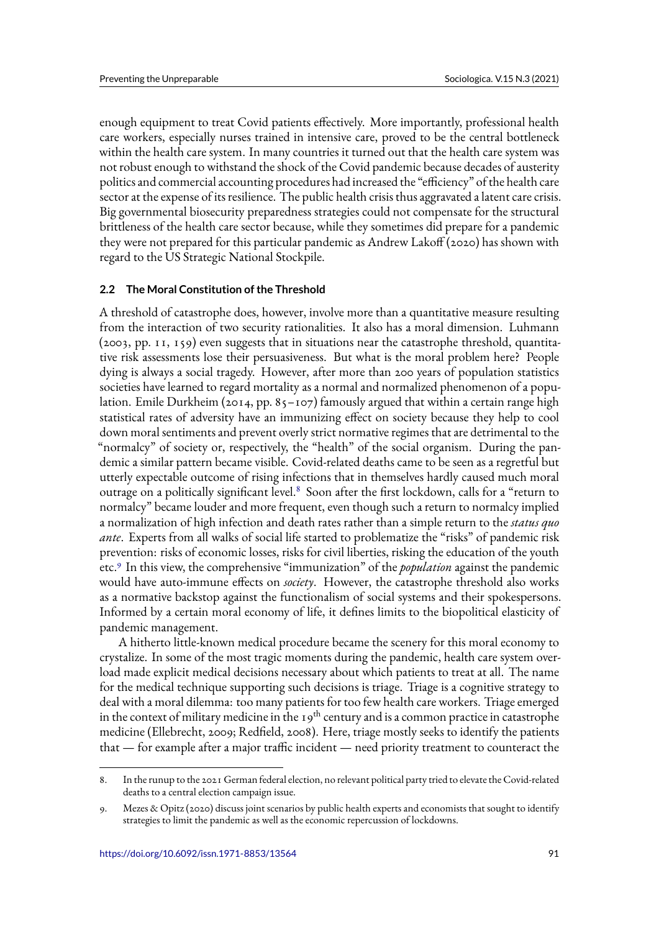enough equipment to treat Covid patients effectively. More importantly, professional health care workers, especially nurses trained in intensive care, proved to be the central bottleneck within the health care system. In many countries it turned out that the health care system was not robust enough to withstand the shock of the Covid pandemic because decades of austerity politics and commercial accounting procedures had increased the "efficiency" of the health care sector at the expense of its resilience. The public health crisis thus aggravated a latent care crisis. Big governmental biosecurity preparedness strategies could not compensate for the structural brittleness of the health care sector because, while they sometimes did prepare for a pandemic they were not prepared for this particular pandemic as Andrew Lakoff (2020) has shown with regard to the US Strategic National Stockpile.

## **2.2 The Moral Constitution of the Threshold**

A threshold of catastrophe does, however, involve more than a quantitative measure resulting from the interaction of two security rationalities. It also has a moral dimension. Luhmann (2003, pp. 11, 159) even suggests that in situations near the catastrophe threshold, quantitative risk assessments lose their persuasiveness. But what is the moral problem here? People dying is always a social tragedy. However, after more than 200 years of population statistics societies have learned to regard mortality as a normal and normalized phenomenon of a population. Emile Durkheim (2014, pp. 85–107) famously argued that within a certain range high statistical rates of adversity have an immunizing effect on society because they help to cool down moral sentiments and prevent overly strict normative regimes that are detrimental to the "normalcy" of society or, respectively, the "health" of the social organism. During the pandemic a similar pattern became visible. Covid-related deaths came to be seen as a regretful but utterly expectable outcome of rising infections that in themselves hardly caused much moral outrage on a politically significant level.<sup>8</sup> Soon after the first lockdown, calls for a "return to normalcy" became louder and more frequent, even though such a return to normalcy implied a normalization of high infection and death rates rather than a simple return to the *status quo ante*. Experts from all walks of social life started to problematize the "risks" of pandemic risk prevention: risks of economic losses, risks for civil liberties, risking the education of the youth etc.<sup>9</sup> In this view, the comprehensive "immunization" of the *population* against the pandemic would have auto-immune effects on *society*. However, the catastrophe threshold also works as a normative backstop against the functionalism of social systems and their spokespersons. Informed by a certain moral economy of life, it defines limits to the biopolitical elasticity of pandemic management.

A hitherto little-known medical procedure became the scenery for this moral economy to crystalize. In some of the most tragic moments during the pandemic, health care system overload made explicit medical decisions necessary about which patients to treat at all. The name for the medical technique supporting such decisions is triage. Triage is a cognitive strategy to deal with a moral dilemma: too many patients for too few health care workers. Triage emerged in the context of military medicine in the  $19^{th}$  century and is a common practice in catastrophe medicine (Ellebrecht, 2009; Redfield, 2008). Here, triage mostly seeks to identify the patients that — for example after a major traffic incident — need priority treatment to counteract the

<sup>8.</sup> In the runup to the 2021 German federal election, no relevant political party tried to elevate the Covid-related deaths to a central election campaign issue.

<sup>9.</sup> Mezes & Opitz (2020) discuss joint scenarios by public health experts and economists that sought to identify strategies to limit the pandemic as well as the economic repercussion of lockdowns.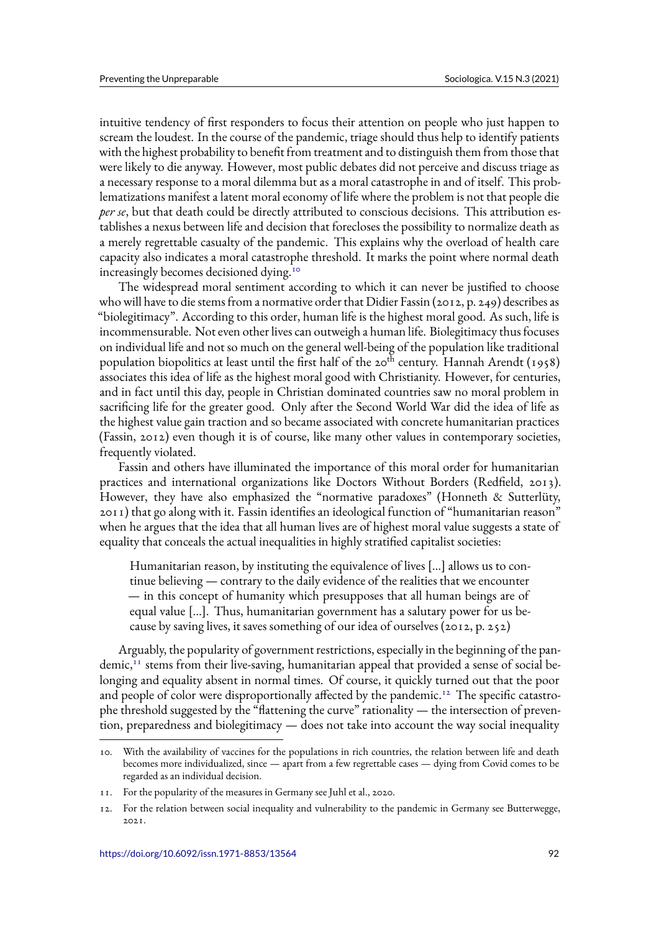intuitive tendency of first responders to focus their attention on people who just happen to scream the loudest. In the course of the pandemic, triage should thus help to identify patients with the highest probability to benefit from treatment and to distinguish them from those that were likely to die anyway. However, most public debates did not perceive and discuss triage as a necessary response to a moral dilemma but as a moral catastrophe in and of itself. This problematizations manifest a latent moral economy of life where the problem is not that people die *per se*, but that death could be directly attributed to conscious decisions. This attribution establishes a nexus between life and decision that forecloses the possibility to normalize death as a merely regrettable casualty of the pandemic. This explains why the overload of health care capacity also indicates a moral catastrophe threshold. It marks the point where normal death increasingly becomes decisioned dying.<sup>10</sup>

The widespread moral sentiment according to which it can never be justified to choose who will have to die stems from a normative order that Didier Fassin (2012, p. 249) describes as "biolegitimacy". According to this order, human life is the highest moral good. As such, life is incommensurable. Not even other lives can outweigh a human life. Biolegitimacy thus focuses on individual life and not so much on the general well-being of the population like traditional population biopolitics at least until the first half of the 20<sup>th</sup> century. Hannah Arendt (1958) associates this idea of life as the highest moral good with Christianity. However, for centuries, and in fact until this day, people in Christian dominated countries saw no moral problem in sacrificing life for the greater good. Only after the Second World War did the idea of life as the highest value gain traction and so became associated with concrete humanitarian practices (Fassin, 2012) even though it is of course, like many other values in contemporary societies, frequently violated.

Fassin and others have illuminated the importance of this moral order for humanitarian practices and international organizations like Doctors Without Borders (Redfield, 2013). However, they have also emphasized the "normative paradoxes" (Honneth & Sutterlüty, 2011) that go along with it. Fassin identifies an ideological function of "humanitarian reason" when he argues that the idea that all human lives are of highest moral value suggests a state of equality that conceals the actual inequalities in highly stratified capitalist societies:

Humanitarian reason, by instituting the equivalence of lives […] allows us to continue believing — contrary to the daily evidence of the realities that we encounter — in this concept of humanity which presupposes that all human beings are of equal value […]. Thus, humanitarian government has a salutary power for us because by saving lives, it saves something of our idea of ourselves (2012, p. 252)

Arguably, the popularity of government restrictions, especially in the beginning of the pandemic, $<sup>11</sup>$  stems from their live-saving, humanitarian appeal that provided a sense of social be-</sup> longing and equality absent in normal times. Of course, it quickly turned out that the poor and people of color were disproportionally affected by the pandemic.<sup>12</sup> The specific catastrophe threshold suggested by the "flattening the curve" rationality — the intersection of prevention, preparedness and biolegitimacy — does not take into account the way social inequality

<sup>10.</sup> With the availability of vaccines for the populations in rich countries, the relation between life and death becomes more individualized, since — apart from a few regrettable cases — dying from Covid comes to be regarded as an individual decision.

<sup>11.</sup> For the popularity of the measures in Germany see Juhl et al., 2020.

<sup>12.</sup> For the relation between social inequality and vulnerability to the pandemic in Germany see Butterwegge, 2021.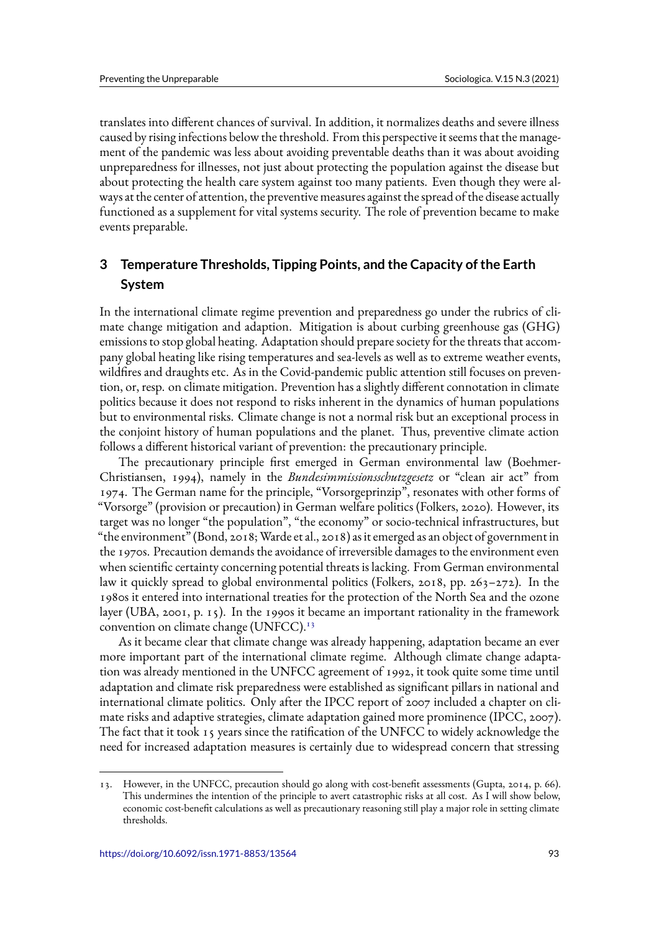translates into different chances of survival. In addition, it normalizes deaths and severe illness caused by rising infections below the threshold. From this perspective it seems that the management of the pandemic was less about avoiding preventable deaths than it was about avoiding unpreparedness for illnesses, not just about protecting the population against the disease but about protecting the health care system against too many patients. Even though they were always at the center of attention, the preventive measures against the spread of the disease actually functioned as a supplement for vital systems security. The role of prevention became to make events preparable.

# **3 Temperature Thresholds, Tipping Points, and the Capacity of the Earth System**

In the international climate regime prevention and preparedness go under the rubrics of climate change mitigation and adaption. Mitigation is about curbing greenhouse gas (GHG) emissions to stop global heating. Adaptation should prepare society for the threats that accompany global heating like rising temperatures and sea-levels as well as to extreme weather events, wildfires and draughts etc. As in the Covid-pandemic public attention still focuses on prevention, or, resp. on climate mitigation. Prevention has a slightly different connotation in climate politics because it does not respond to risks inherent in the dynamics of human populations but to environmental risks. Climate change is not a normal risk but an exceptional process in the conjoint history of human populations and the planet. Thus, preventive climate action follows a different historical variant of prevention: the precautionary principle.

The precautionary principle first emerged in German environmental law (Boehmer-Christiansen, 1994), namely in the *Bundesimmissionsschutzgesetz* or "clean air act" from 1974. The German name for the principle, "Vorsorgeprinzip", resonates with other forms of "Vorsorge" (provision or precaution) in German welfare politics (Folkers, 2020). However, its target was no longer "the population", "the economy" or socio-technical infrastructures, but "the environment" (Bond, 2018; Warde et al., 2018) as it emerged as an object of government in the 1970s. Precaution demands the avoidance of irreversible damages to the environment even when scientific certainty concerning potential threats is lacking. From German environmental law it quickly spread to global environmental politics (Folkers, 2018, pp. 263–272). In the 1980s it entered into international treaties for the protection of the North Sea and the ozone layer (UBA, 2001, p. 15). In the 1990s it became an important rationality in the framework convention on climate change (UNFCC).<sup>13</sup>

As it became clear that climate change was already happening, adaptation became an ever more important part of the international climate regime. Although climate change adaptation was already mentioned in the UNFCC agreement of 1992, it took quite some time until adaptation and climate risk preparedness were established as significant pillars in national and international climate politics. Only after the IPCC report of 2007 included a chapter on climate risks and adaptive strategies, climate adaptation gained more prominence (IPCC, 2007). The fact that it took 15 years since the ratification of the UNFCC to widely acknowledge the need for increased adaptation measures is certainly due to widespread concern that stressing

<sup>13.</sup> However, in the UNFCC, precaution should go along with cost-benefit assessments (Gupta, 2014, p. 66). This undermines the intention of the principle to avert catastrophic risks at all cost. As I will show below, economic cost-benefit calculations as well as precautionary reasoning still play a major role in setting climate thresholds.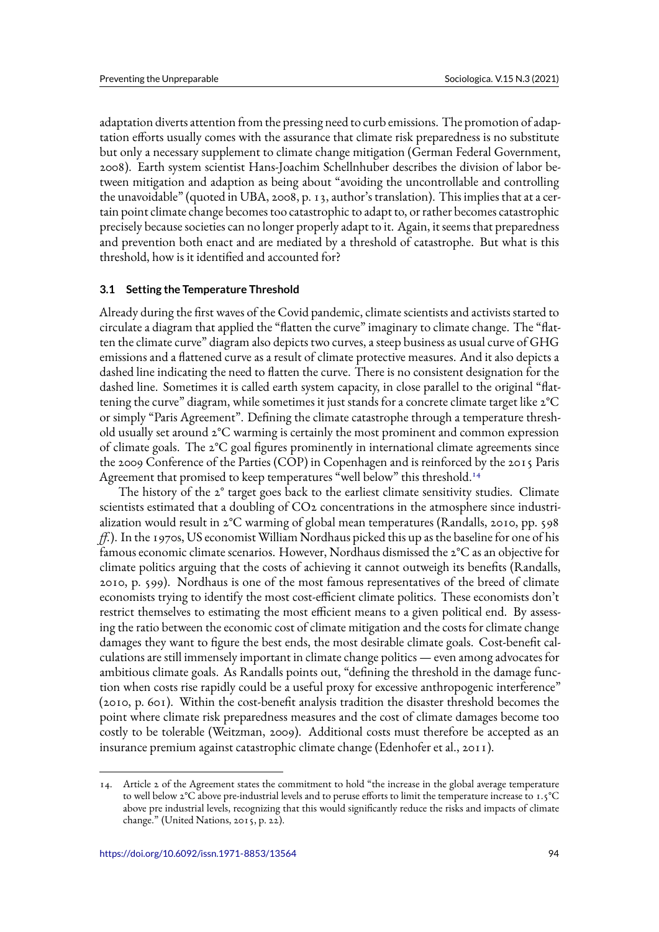adaptation diverts attention from the pressing need to curb emissions. The promotion of adaptation efforts usually comes with the assurance that climate risk preparedness is no substitute but only a necessary supplement to climate change mitigation (German Federal Government, 2008). Earth system scientist Hans-Joachim Schellnhuber describes the division of labor between mitigation and adaption as being about "avoiding the uncontrollable and controlling the unavoidable" (quoted in UBA, 2008, p. 13, author's translation). This implies that at a certain point climate change becomes too catastrophic to adapt to, or rather becomes catastrophic precisely because societies can no longer properly adapt to it. Again, it seems that preparedness and prevention both enact and are mediated by a threshold of catastrophe. But what is this threshold, how is it identified and accounted for?

#### **3.1 Setting the Temperature Threshold**

Already during the first waves of the Covid pandemic, climate scientists and activists started to circulate a diagram that applied the "flatten the curve" imaginary to climate change. The "flatten the climate curve" diagram also depicts two curves, a steep business as usual curve of GHG emissions and a flattened curve as a result of climate protective measures. And it also depicts a dashed line indicating the need to flatten the curve. There is no consistent designation for the dashed line. Sometimes it is called earth system capacity, in close parallel to the original "flattening the curve" diagram, while sometimes it just stands for a concrete climate target like 2°C or simply "Paris Agreement". Defining the climate catastrophe through a temperature threshold usually set around 2°C warming is certainly the most prominent and common expression of climate goals. The 2°C goal figures prominently in international climate agreements since the 2009 Conference of the Parties (COP) in Copenhagen and is reinforced by the 2015 Paris Agreement that promised to keep temperatures "well below" this threshold.<sup>14</sup>

The history of the 2° target goes back to the earliest climate sensitivity studies. Climate scientists estimated that a doubling of CO2 concentrations in the atmosphere since industrialization would result in 2°C warming of global mean temperatures (Randalls, 2010, pp. 598 *ff.*). In the 1970s, US economist William Nordhaus picked this up as the baseline for one of his famous economic climate scenarios. However, Nordhaus dismissed the 2°C as an objective for climate politics arguing that the costs of achieving it cannot outweigh its benefits (Randalls, 2010, p. 599). Nordhaus is one of the most famous representatives of the breed of climate economists trying to identify the most cost-efficient climate politics. These economists don't restrict themselves to estimating the most efficient means to a given political end. By assessing the ratio between the economic cost of climate mitigation and the costs for climate change damages they want to figure the best ends, the most desirable climate goals. Cost-benefit calculations are still immensely important in climate change politics — even among advocates for ambitious climate goals. As Randalls points out, "defining the threshold in the damage function when costs rise rapidly could be a useful proxy for excessive anthropogenic interference" (2010, p. 601). Within the cost-benefit analysis tradition the disaster threshold becomes the point where climate risk preparedness measures and the cost of climate damages become too costly to be tolerable (Weitzman, 2009). Additional costs must therefore be accepted as an insurance premium against catastrophic climate change (Edenhofer et al., 2011).

<sup>14.</sup> Article 2 of the Agreement states the commitment to hold "the increase in the global average temperature to well below 2°C above pre-industrial levels and to peruse efforts to limit the temperature increase to 1.5°C above pre industrial levels, recognizing that this would significantly reduce the risks and impacts of climate change." (United Nations, 2015, p. 22).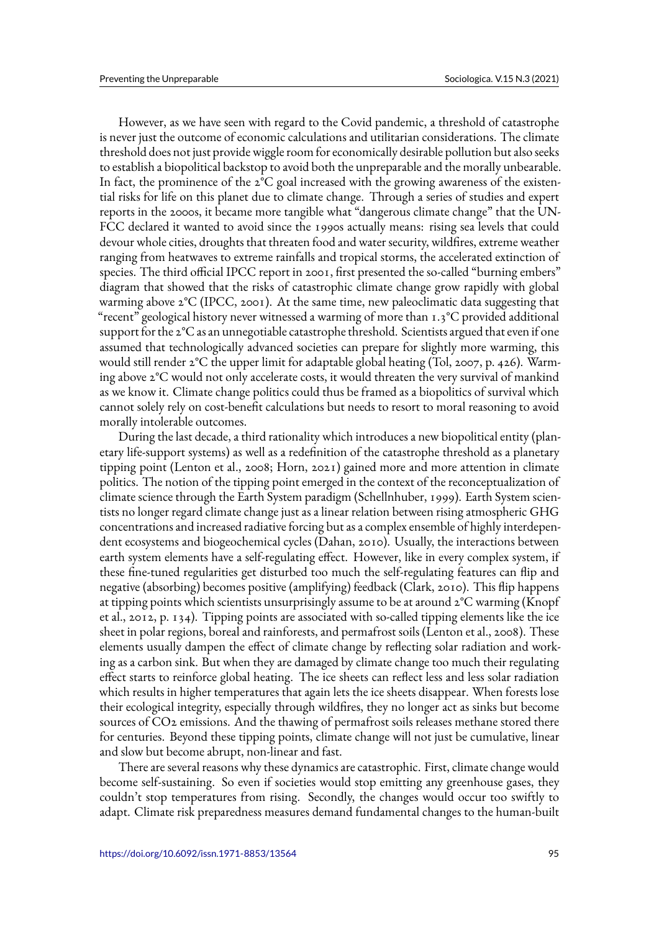However, as we have seen with regard to the Covid pandemic, a threshold of catastrophe is never just the outcome of economic calculations and utilitarian considerations. The climate threshold does not just provide wiggle room for economically desirable pollution but also seeks to establish a biopolitical backstop to avoid both the unpreparable and the morally unbearable. In fact, the prominence of the 2°C goal increased with the growing awareness of the existential risks for life on this planet due to climate change. Through a series of studies and expert reports in the 2000s, it became more tangible what "dangerous climate change" that the UN-FCC declared it wanted to avoid since the 1990s actually means: rising sea levels that could devour whole cities, droughts that threaten food and water security, wildfires, extreme weather ranging from heatwaves to extreme rainfalls and tropical storms, the accelerated extinction of species. The third official IPCC report in 2001, first presented the so-called "burning embers" diagram that showed that the risks of catastrophic climate change grow rapidly with global warming above  $2^{\circ}C$  (IPCC, 2001). At the same time, new paleoclimatic data suggesting that "recent" geological history never witnessed a warming of more than 1.3°C provided additional support for the 2°C as an unnegotiable catastrophe threshold. Scientists argued that even if one assumed that technologically advanced societies can prepare for slightly more warming, this would still render  $2^{\circ}C$  the upper limit for adaptable global heating (Tol, 2007, p. 426). Warming above 2°C would not only accelerate costs, it would threaten the very survival of mankind as we know it. Climate change politics could thus be framed as a biopolitics of survival which cannot solely rely on cost-benefit calculations but needs to resort to moral reasoning to avoid morally intolerable outcomes.

During the last decade, a third rationality which introduces a new biopolitical entity (planetary life-support systems) as well as a redefinition of the catastrophe threshold as a planetary tipping point (Lenton et al., 2008; Horn, 2021) gained more and more attention in climate politics. The notion of the tipping point emerged in the context of the reconceptualization of climate science through the Earth System paradigm (Schellnhuber, 1999). Earth System scientists no longer regard climate change just as a linear relation between rising atmospheric GHG concentrations and increased radiative forcing but as a complex ensemble of highly interdependent ecosystems and biogeochemical cycles (Dahan, 2010). Usually, the interactions between earth system elements have a self-regulating effect. However, like in every complex system, if these fine-tuned regularities get disturbed too much the self-regulating features can flip and negative (absorbing) becomes positive (amplifying) feedback (Clark, 2010). This flip happens at tipping points which scientists unsurprisingly assume to be at around 2°C warming (Knopf et al., 2012, p. 134). Tipping points are associated with so-called tipping elements like the ice sheet in polar regions, boreal and rainforests, and permafrost soils (Lenton et al., 2008). These elements usually dampen the effect of climate change by reflecting solar radiation and working as a carbon sink. But when they are damaged by climate change too much their regulating effect starts to reinforce global heating. The ice sheets can reflect less and less solar radiation which results in higher temperatures that again lets the ice sheets disappear. When forests lose their ecological integrity, especially through wildfires, they no longer act as sinks but become sources of CO2 emissions. And the thawing of permafrost soils releases methane stored there for centuries. Beyond these tipping points, climate change will not just be cumulative, linear and slow but become abrupt, non-linear and fast.

There are several reasons why these dynamics are catastrophic. First, climate change would become self-sustaining. So even if societies would stop emitting any greenhouse gases, they couldn't stop temperatures from rising. Secondly, the changes would occur too swiftly to adapt. Climate risk preparedness measures demand fundamental changes to the human-built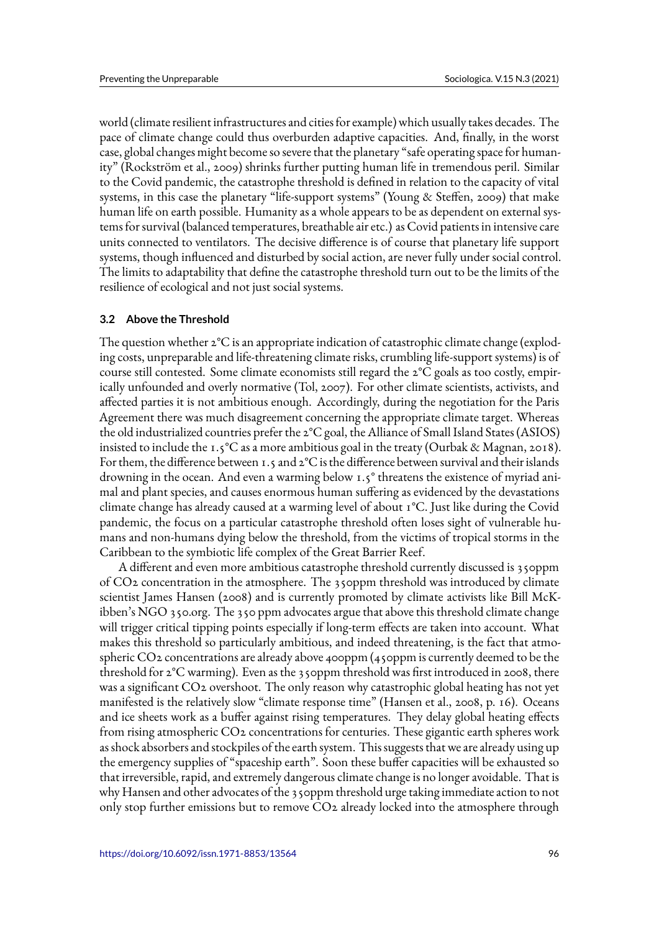world (climate resilient infrastructures and cities for example) which usually takes decades. The pace of climate change could thus overburden adaptive capacities. And, finally, in the worst case, global changes might become so severe that the planetary "safe operating space for humanity" (Rockström et al., 2009) shrinks further putting human life in tremendous peril. Similar to the Covid pandemic, the catastrophe threshold is defined in relation to the capacity of vital systems, in this case the planetary "life-support systems" (Young & Steffen, 2009) that make human life on earth possible. Humanity as a whole appears to be as dependent on external systems for survival (balanced temperatures, breathable air etc.) as Covid patients in intensive care units connected to ventilators. The decisive difference is of course that planetary life support systems, though influenced and disturbed by social action, are never fully under social control. The limits to adaptability that define the catastrophe threshold turn out to be the limits of the resilience of ecological and not just social systems.

#### **3.2 Above the Threshold**

The question whether 2°C is an appropriate indication of catastrophic climate change (exploding costs, unpreparable and life-threatening climate risks, crumbling life-support systems) is of course still contested. Some climate economists still regard the  $2^{\circ}C$  goals as too costly, empirically unfounded and overly normative (Tol, 2007). For other climate scientists, activists, and affected parties it is not ambitious enough. Accordingly, during the negotiation for the Paris Agreement there was much disagreement concerning the appropriate climate target. Whereas the old industrialized countries prefer the 2°C goal, the Alliance of Small Island States (ASIOS) insisted to include the 1.5°C as a more ambitious goal in the treaty (Ourbak & Magnan, 2018). For them, the difference between 1.5 and  $2^{\circ}C$  is the difference between survival and their islands drowning in the ocean. And even a warming below 1.5° threatens the existence of myriad animal and plant species, and causes enormous human suffering as evidenced by the devastations climate change has already caused at a warming level of about 1°C. Just like during the Covid pandemic, the focus on a particular catastrophe threshold often loses sight of vulnerable humans and non-humans dying below the threshold, from the victims of tropical storms in the Caribbean to the symbiotic life complex of the Great Barrier Reef.

A different and even more ambitious catastrophe threshold currently discussed is 350ppm of CO2 concentration in the atmosphere. The 350ppm threshold was introduced by climate scientist James Hansen (2008) and is currently promoted by climate activists like Bill McKibben's NGO 350.org. The 350 ppm advocates argue that above this threshold climate change will trigger critical tipping points especially if long-term effects are taken into account. What makes this threshold so particularly ambitious, and indeed threatening, is the fact that atmospheric CO2 concentrations are already above 400ppm (450ppm is currently deemed to be the threshold for 2°C warming). Even as the 350ppm threshold was first introduced in 2008, there was a significant CO2 overshoot. The only reason why catastrophic global heating has not yet manifested is the relatively slow "climate response time" (Hansen et al., 2008, p. 16). Oceans and ice sheets work as a buffer against rising temperatures. They delay global heating effects from rising atmospheric CO2 concentrations for centuries. These gigantic earth spheres work as shock absorbers and stockpiles of the earth system. This suggests that we are already using up the emergency supplies of "spaceship earth". Soon these buffer capacities will be exhausted so that irreversible, rapid, and extremely dangerous climate change is no longer avoidable. That is why Hansen and other advocates of the 350ppm threshold urge taking immediate action to not only stop further emissions but to remove CO2 already locked into the atmosphere through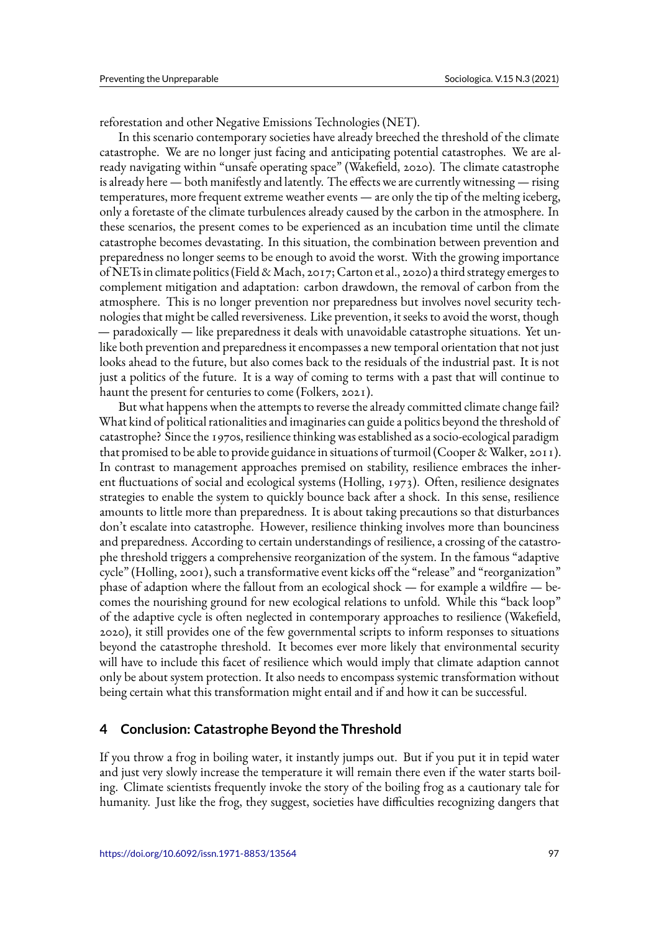reforestation and other Negative Emissions Technologies (NET).

In this scenario contemporary societies have already breeched the threshold of the climate catastrophe. We are no longer just facing and anticipating potential catastrophes. We are already navigating within "unsafe operating space" (Wakefield, 2020). The climate catastrophe is already here — both manifestly and latently. The effects we are currently witnessing — rising temperatures, more frequent extreme weather events — are only the tip of the melting iceberg, only a foretaste of the climate turbulences already caused by the carbon in the atmosphere. In these scenarios, the present comes to be experienced as an incubation time until the climate catastrophe becomes devastating. In this situation, the combination between prevention and preparedness no longer seems to be enough to avoid the worst. With the growing importance of NETs in climate politics (Field & Mach, 2017; Carton et al., 2020) a third strategy emerges to complement mitigation and adaptation: carbon drawdown, the removal of carbon from the atmosphere. This is no longer prevention nor preparedness but involves novel security technologies that might be called reversiveness. Like prevention, it seeks to avoid the worst, though — paradoxically — like preparedness it deals with unavoidable catastrophe situations. Yet unlike both prevention and preparedness it encompasses a new temporal orientation that not just looks ahead to the future, but also comes back to the residuals of the industrial past. It is not just a politics of the future. It is a way of coming to terms with a past that will continue to haunt the present for centuries to come (Folkers, 2021).

But what happens when the attempts to reverse the already committed climate change fail? What kind of political rationalities and imaginaries can guide a politics beyond the threshold of catastrophe? Since the 1970s, resilience thinking was established as a socio-ecological paradigm that promised to be able to provide guidance in situations of turmoil (Cooper & Walker, 2011). In contrast to management approaches premised on stability, resilience embraces the inherent fluctuations of social and ecological systems (Holling, 1973). Often, resilience designates strategies to enable the system to quickly bounce back after a shock. In this sense, resilience amounts to little more than preparedness. It is about taking precautions so that disturbances don't escalate into catastrophe. However, resilience thinking involves more than bounciness and preparedness. According to certain understandings of resilience, a crossing of the catastrophe threshold triggers a comprehensive reorganization of the system. In the famous "adaptive cycle" (Holling, 2001), such a transformative event kicks off the "release" and "reorganization" phase of adaption where the fallout from an ecological shock — for example a wildfire — becomes the nourishing ground for new ecological relations to unfold. While this "back loop" of the adaptive cycle is often neglected in contemporary approaches to resilience (Wakefield, 2020), it still provides one of the few governmental scripts to inform responses to situations beyond the catastrophe threshold. It becomes ever more likely that environmental security will have to include this facet of resilience which would imply that climate adaption cannot only be about system protection. It also needs to encompass systemic transformation without being certain what this transformation might entail and if and how it can be successful.

### **4 Conclusion: Catastrophe Beyond the Threshold**

If you throw a frog in boiling water, it instantly jumps out. But if you put it in tepid water and just very slowly increase the temperature it will remain there even if the water starts boiling. Climate scientists frequently invoke the story of the boiling frog as a cautionary tale for humanity. Just like the frog, they suggest, societies have difficulties recognizing dangers that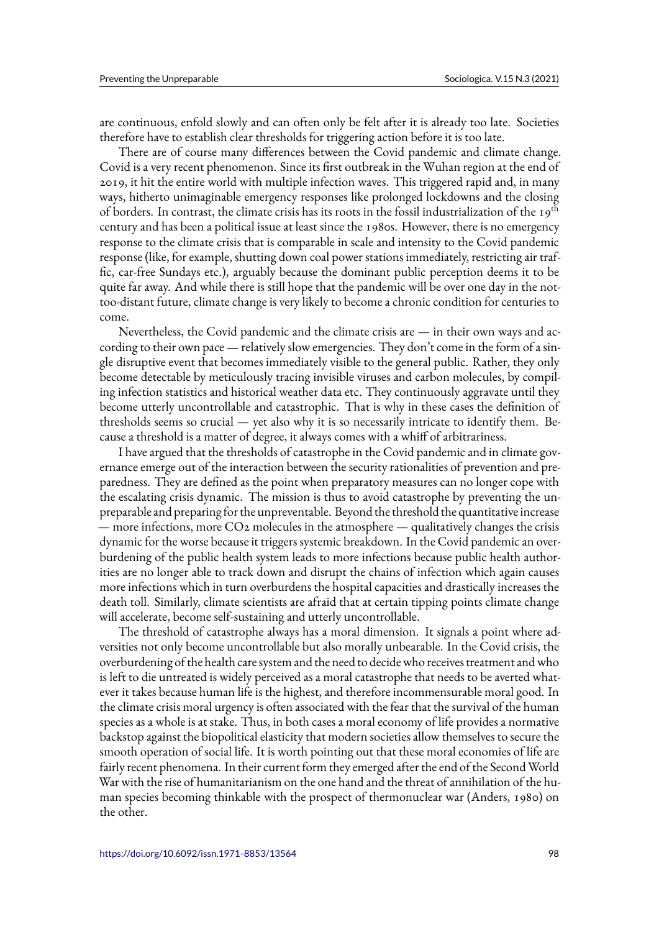are continuous, enfold slowly and can often only be felt after it is already too late. Societies therefore have to establish clear thresholds for triggering action before it is too late.

There are of course many differences between the Covid pandemic and climate change. Covid is a very recent phenomenon. Since its first outbreak in the Wuhan region at the end of 2019, it hit the entire world with multiple infection waves. This triggered rapid and, in many ways, hitherto unimaginable emergency responses like prolonged lockdowns and the closing of borders. In contrast, the climate crisis has its roots in the fossil industrialization of the 19<sup>th</sup> century and has been a political issue at least since the 1980s. However, there is no emergency response to the climate crisis that is comparable in scale and intensity to the Covid pandemic response (like, for example, shutting down coal power stations immediately, restricting air traffic, car-free Sundays etc.), arguably because the dominant public perception deems it to be quite far away. And while there is still hope that the pandemic will be over one day in the nottoo-distant future, climate change is very likely to become a chronic condition for centuries to come.

Nevertheless, the Covid pandemic and the climate crisis are  $-$  in their own ways and according to their own pace — relatively slow emergencies. They don't come in the form of a single disruptive event that becomes immediately visible to the general public. Rather, they only become detectable by meticulously tracing invisible viruses and carbon molecules, by compiling infection statistics and historical weather data etc. They continuously aggravate until they become utterly uncontrollable and catastrophic. That is why in these cases the definition of thresholds seems so crucial — yet also why it is so necessarily intricate to identify them. Because a threshold is a matter of degree, it always comes with a whiff of arbitrariness.

I have argued that the thresholds of catastrophe in the Covid pandemic and in climate governance emerge out of the interaction between the security rationalities of prevention and preparedness. They are defined as the point when preparatory measures can no longer cope with the escalating crisis dynamic. The mission is thus to avoid catastrophe by preventing the unpreparable and preparing for the unpreventable. Beyond the threshold the quantitative increase — more infections, more CO2 molecules in the atmosphere — qualitatively changes the crisis dynamic for the worse because it triggers systemic breakdown. In the Covid pandemic an overburdening of the public health system leads to more infections because public health authorities are no longer able to track down and disrupt the chains of infection which again causes more infections which in turn overburdens the hospital capacities and drastically increases the death toll. Similarly, climate scientists are afraid that at certain tipping points climate change will accelerate, become self-sustaining and utterly uncontrollable.

The threshold of catastrophe always has a moral dimension. It signals a point where adversities not only become uncontrollable but also morally unbearable. In the Covid crisis, the overburdening of the health care system and the need to decide who receives treatment and who is left to die untreated is widely perceived as a moral catastrophe that needs to be averted whatever it takes because human life is the highest, and therefore incommensurable moral good. In the climate crisis moral urgency is often associated with the fear that the survival of the human species as a whole is at stake. Thus, in both cases a moral economy of life provides a normative backstop against the biopolitical elasticity that modern societies allow themselves to secure the smooth operation of social life. It is worth pointing out that these moral economies of life are fairly recent phenomena. In their current form they emerged after the end of the Second World War with the rise of humanitarianism on the one hand and the threat of annihilation of the human species becoming thinkable with the prospect of thermonuclear war (Anders, 1980) on the other.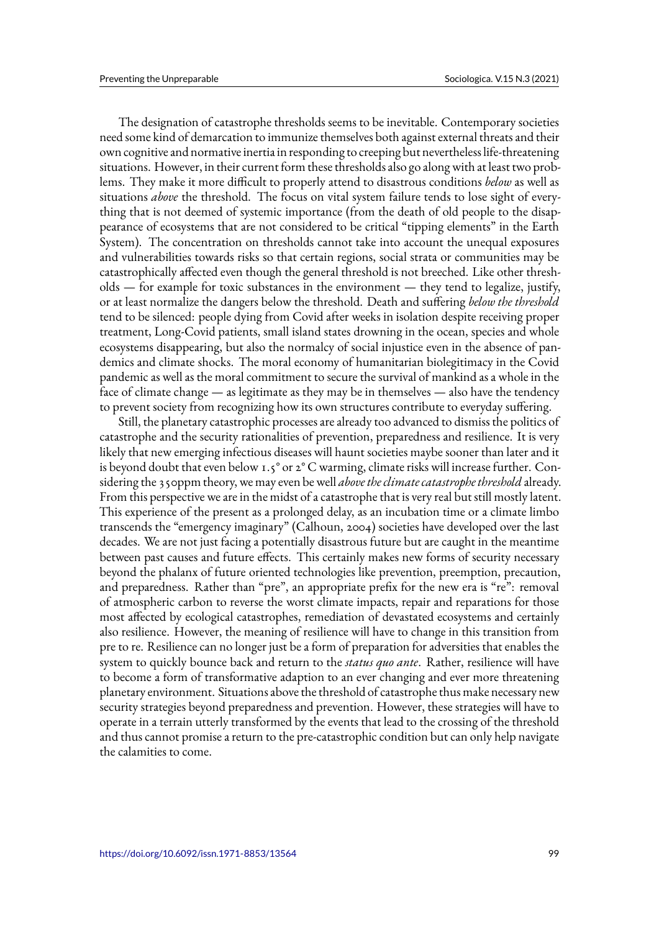The designation of catastrophe thresholds seems to be inevitable. Contemporary societies need some kind of demarcation to immunize themselves both against external threats and their own cognitive and normative inertia in responding to creeping but nevertheless life-threatening situations. However, in their current form these thresholds also go along with at least two problems. They make it more difficult to properly attend to disastrous conditions *below* as well as situations *above* the threshold. The focus on vital system failure tends to lose sight of everything that is not deemed of systemic importance (from the death of old people to the disappearance of ecosystems that are not considered to be critical "tipping elements" in the Earth System). The concentration on thresholds cannot take into account the unequal exposures and vulnerabilities towards risks so that certain regions, social strata or communities may be catastrophically affected even though the general threshold is not breeched. Like other thresholds — for example for toxic substances in the environment — they tend to legalize, justify, or at least normalize the dangers below the threshold. Death and suffering *below the threshold* tend to be silenced: people dying from Covid after weeks in isolation despite receiving proper treatment, Long-Covid patients, small island states drowning in the ocean, species and whole ecosystems disappearing, but also the normalcy of social injustice even in the absence of pandemics and climate shocks. The moral economy of humanitarian biolegitimacy in the Covid pandemic as well as the moral commitment to secure the survival of mankind as a whole in the face of climate change — as legitimate as they may be in themselves — also have the tendency to prevent society from recognizing how its own structures contribute to everyday suffering.

Still, the planetary catastrophic processes are already too advanced to dismiss the politics of catastrophe and the security rationalities of prevention, preparedness and resilience. It is very likely that new emerging infectious diseases will haunt societies maybe sooner than later and it is beyond doubt that even below 1.5° or  $2^{\circ}$  C warming, climate risks will increase further. Considering the 350ppm theory, we may even be well *above the climate catastrophe threshold* already. From this perspective we are in the midst of a catastrophe that is very real but still mostly latent. This experience of the present as a prolonged delay, as an incubation time or a climate limbo transcends the "emergency imaginary" (Calhoun, 2004) societies have developed over the last decades. We are not just facing a potentially disastrous future but are caught in the meantime between past causes and future effects. This certainly makes new forms of security necessary beyond the phalanx of future oriented technologies like prevention, preemption, precaution, and preparedness. Rather than "pre", an appropriate prefix for the new era is "re": removal of atmospheric carbon to reverse the worst climate impacts, repair and reparations for those most affected by ecological catastrophes, remediation of devastated ecosystems and certainly also resilience. However, the meaning of resilience will have to change in this transition from pre to re. Resilience can no longer just be a form of preparation for adversities that enables the system to quickly bounce back and return to the *status quo ante*. Rather, resilience will have to become a form of transformative adaption to an ever changing and ever more threatening planetary environment. Situations above the threshold of catastrophe thus make necessary new security strategies beyond preparedness and prevention. However, these strategies will have to operate in a terrain utterly transformed by the events that lead to the crossing of the threshold and thus cannot promise a return to the pre-catastrophic condition but can only help navigate the calamities to come.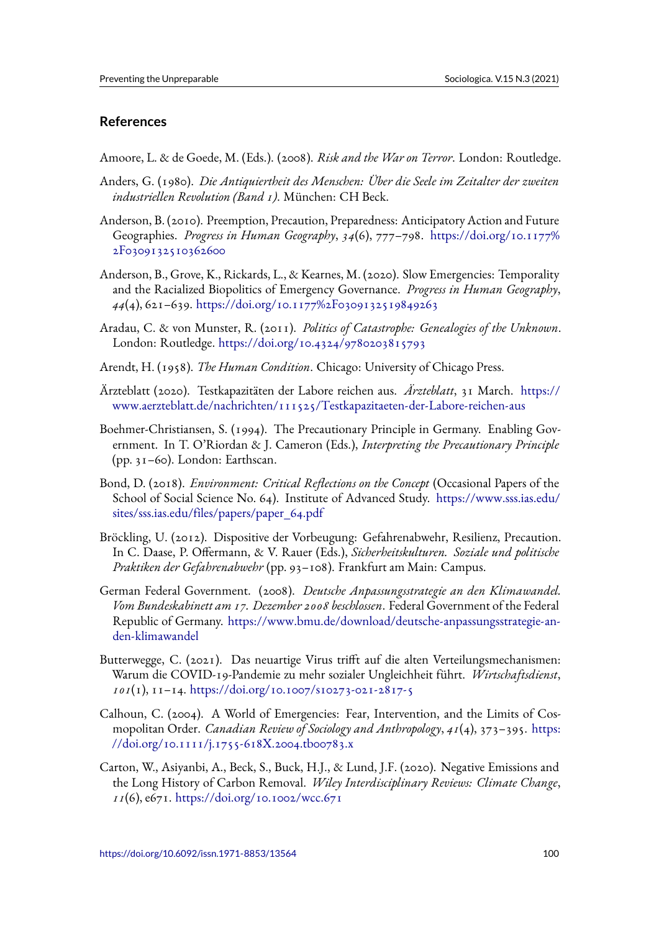# **References**

Amoore, L. & de Goede, M. (Eds.). (2008). *Risk and the War on Terror*. London: Routledge.

- Anders, G. (1980). *Die Antiquiertheit des Menschen: Über die Seele im Zeitalter der zweiten industriellen Revolution (Band 1)*. München: CH Beck.
- Anderson, B. (2010). Preemption, Precaution, Preparedness: Anticipatory Action and Future Geographies. *Progress in Human Geography*, *34*(6), 777–798. https://doi.org/10.1177% 2F0309132510362600
- Anderson, B., Grove, K., Rickards, L., & Kearnes, M. (2020). Slow Emergencies: Temporality and the Racialized Biopolitics of Emergency Governance. *Prog[ress in Human Geography](https://doi.org/10.1177%2F0309132510362600)*, *44*[\(4\), 621–639.](https://doi.org/10.1177%2F0309132510362600) https://doi.org/10.1177%2F0309132519849263
- Aradau, C. & von Munster, R. (2011). *Politics of Catastrophe: Genealogies of the Unknown*. London: Routledge. https://doi.org/10.4324/9780203815793
- Arendt, H. (1958). *The Human Condition*[. Chicago: University of C](https://doi.org/10.1177%2F0309132519849263)hicago Press.
- Ärzteblatt (2020). Test[kapazitäten der Labore reichen aus.](https://doi.org/10.4324/9780203815793) *Ärzteblatt*, 31 March. https:// www.aerzteblatt.de/nachrichten/111525/Testkapazitaeten-der-Labore-reichen-aus
- Boehmer-Christiansen, S. (1994). The Precautionary Principle in Germany. Enabling Government. In T. O'Riordan & J. Cameron (Eds.), *Interpreting the Precautionary [Principle](https://www.aerzteblatt.de/nachrichten/111525/Testkapazitaeten-der-Labore-reichen-aus)* [\(pp. 31–60\). London: Earthscan.](https://www.aerzteblatt.de/nachrichten/111525/Testkapazitaeten-der-Labore-reichen-aus)
- Bond, D. (2018). *Environment: Critical Reflections on the Concept* (Occasional Papers of the School of Social Science No. 64). Institute of Advanced Study. https://www.sss.ias.edu/ sites/sss.ias.edu/files/papers/paper\_64.pdf
- Bröckling, U. (2012). Dispositive der Vorbeugung: Gefahrenabwehr, Resilienz, Precaution. In C. Daase, P. Offermann, & V. Rauer (Eds.), *Sicherheitskultur[en. Soziale und politische](https://www.sss.ias.edu/sites/sss.ias.edu/files/papers/paper_64.pdf) [Praktiken der Gefahrenabwehr](https://www.sss.ias.edu/sites/sss.ias.edu/files/papers/paper_64.pdf)* (pp. 93–108). Frankfurt am Main: Campus.
- German Federal Government. (2008). *Deutsche Anpassungsstrategie an den Klimawandel. Vom Bundeskabinett am 17. Dezember 2008 beschlossen*. Federal Government of the Federal Republic of Germany. https://www.bmu.de/download/deutsche-anpassungsstrategie-anden-klimawandel
- Butterwegge, C. (2021). Das neuartige Virus trifft auf die alten Verteilungsmechanismen: Warum die COVID-1[9-Pandemie zu mehr sozialer Ungleichheit führt.](https://www.bmu.de/download/deutsche-anpassungsstrategie-an-den-klimawandel) *Wirtschaftsdienst*, *101*[\(1\), 11–14.](https://www.bmu.de/download/deutsche-anpassungsstrategie-an-den-klimawandel) https://doi.org/10.1007/s10273-021-2817-5
- Calhoun, C. (2004). A World of Emergencies: Fear, Intervention, and the Limits of Cosmopolitan Order. *Canadian Review of Sociology and Anthropology*, *41*(4), 373–395. https: //doi.org/10.1[111/j.1755-618X.2004.tb00783.x](https://doi.org/10.1007/s10273-021-2817-5)
- Carton, W., Asiyanbi, A., Beck, S., Buck, H.J., & Lund, J.F. (2020). Negative Emissions and the Long History of Carbon Removal. *Wiley Interdisciplinary Reviews: Climate C[hange](https://doi.org/10.1111/j.1755-618X.2004.tb00783.x)*, *11*(6), e671. [https://doi.org/10.1002/wcc.671](https://doi.org/10.1111/j.1755-618X.2004.tb00783.x)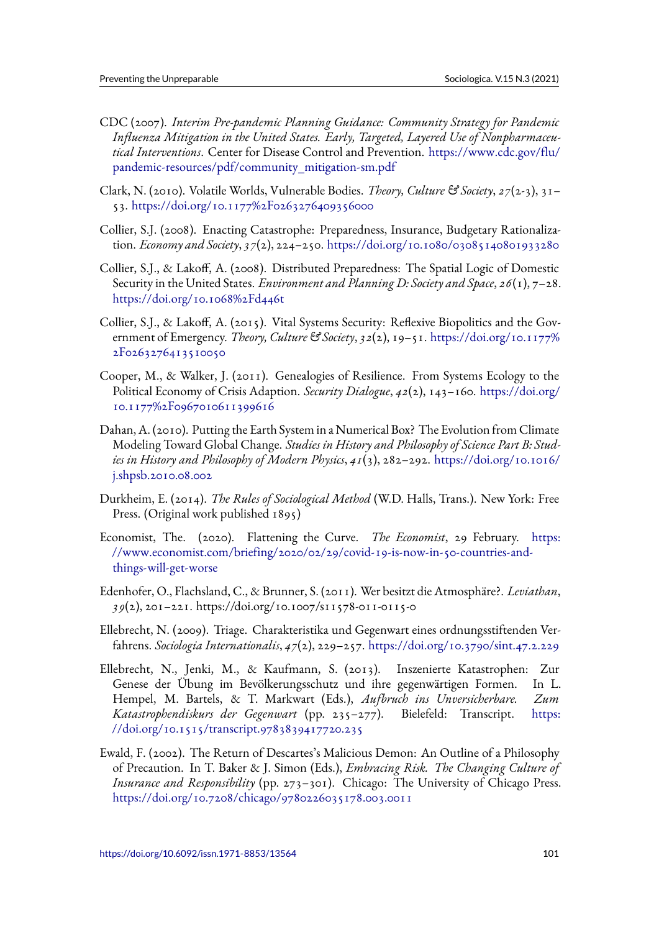- CDC (2007). *Interim Pre-pandemic Planning Guidance: Community Strategy for Pandemic Influenza Mitigation in the United States. Early, Targeted, Layered Use of Nonpharmaceutical Interventions*. Center for Disease Control and Prevention. https://www.cdc.gov/flu/ pandemic-resources/pdf/community\_mitigation-sm.pdf
- Clark, N. (2010). Volatile Worlds, Vulnerable Bodies. *Theory, Culture & Society*, *27*(2-3), 31– 53. https://doi.org/10.1177%2F0263276409356000
- C[ollier, S.J. \(2008\). Enacting Catastrophe: Preparedness, I](https://www.cdc.gov/flu/pandemic-resources/pdf/community_mitigation-sm.pdf)nsurance, Budgetary Rationalization. *Economy and Society*, *37*(2), 224–250. https://doi.org/10.1080/03085140801933280
- Collie[r, S.J., & Lakoff, A. \(2008\). Distributed Prepared](https://doi.org/10.1177%2F0263276409356000)ness: The Spatial Logic of Domestic Security in the United States. *Environment and Planning D: Society and Space*, *26*(1), 7–28. https://doi.org/10.1068%2Fd446t
- Collier, S.J., & Lakoff, A. (2015). Vital Systems Security: Reflexive Biopolitics and the Government of Emergency. *Theory, Culture & Society*, *32*(2), 19–51. https://doi.org/10.1177% [2F0263276413510050](https://doi.org/10.1068%2Fd446t)
- Cooper, M., & Walker, J. (2011). Genealogies of Resilience. From Systems Ecology to the Political Economy of Crisis Adaption. *Security Dialogue*, *42*(2), 143–160. [https://doi.org/](https://doi.org/10.1177%2F0263276413510050) [10.1177%2F096701061](https://doi.org/10.1177%2F0263276413510050)1399616
- Dahan, A. (2010). Putting the Earth System in a Numerical Box? The Evolution from Climate Modeling Toward Global Change. *Studies in History and Philosophy of Scie[nce Part B: Stud](https://doi.org/10.1177%2F0967010611399616)[ies in History and Philosophy of M](https://doi.org/10.1177%2F0967010611399616)odern Physics*, *41*(3), 282–292. https://doi.org/10.1016/ j.shpsb.2010.08.002
- Durkheim, E. (2014). *The Rules of Sociological Method* (W.D. Halls[, Trans.\). New York: Free](https://doi.org/10.1016/j.shpsb.2010.08.002) Press. (Original work published 1895)
- Ec[onomist, The. \(20](https://doi.org/10.1016/j.shpsb.2010.08.002)20). Flattening the Curve. *The Economist*, 29 February. https: //www.economist.com/briefing/2020/02/29/covid-19-is-now-in-50-countries-andthings-will-get-worse
- Edenhofer, O., Flachsland, C., & Brunner, S. (2011). Wer besitzt die Atmosphäre?. *Levi[athan](https://www.economist.com/briefing/2020/02/29/covid-19-is-now-in-50-countries-and-things-will-get-worse)*, *39*[\(2\), 201–221. https://doi.org/10.1007/s11578-011-0115-0](https://www.economist.com/briefing/2020/02/29/covid-19-is-now-in-50-countries-and-things-will-get-worse)
- El[lebrecht, N. \(2009\). T](https://www.economist.com/briefing/2020/02/29/covid-19-is-now-in-50-countries-and-things-will-get-worse)riage. Charakteristika und Gegenwart eines ordnungsstiftenden Verfahrens. *Sociologia Internationalis*, *47*(2), 229–257. https://doi.org/10.3790/sint.47.2.229
- Ellebrecht, N., Jenki, M., & Kaufmann, S. (2013). Inszenierte Katastrophen: Zur Genese der Übung im Bevölkerungsschutz und ihre gegenwärtigen Formen. In L. Hempel, M. Bartels, & T. Markwart (Eds.), *[Aufbruch ins Unversicherbare. Zum](https://doi.org/10.3790/sint.47.2.229) Katastrophendiskurs der Gegenwart* (pp. 235–277). Bielefeld: Transcript. https: //doi.org/10.1515/transcript.9783839417720.235
- Ewald, F. (2002). The Return of Descartes's Malicious Demon: An Outline of a Philosophy of Precaution. In T. Baker & J. Simon (Eds.), *Embracing Risk. The Changing Cult[ure of](https://doi.org/10.1515/transcript.9783839417720.235) [Insurance and Responsibility](https://doi.org/10.1515/transcript.9783839417720.235)* (pp. 273–301). Chicago: The University of Chicago Press. https://doi.org/10.7208/chicago/9780226035178.003.0011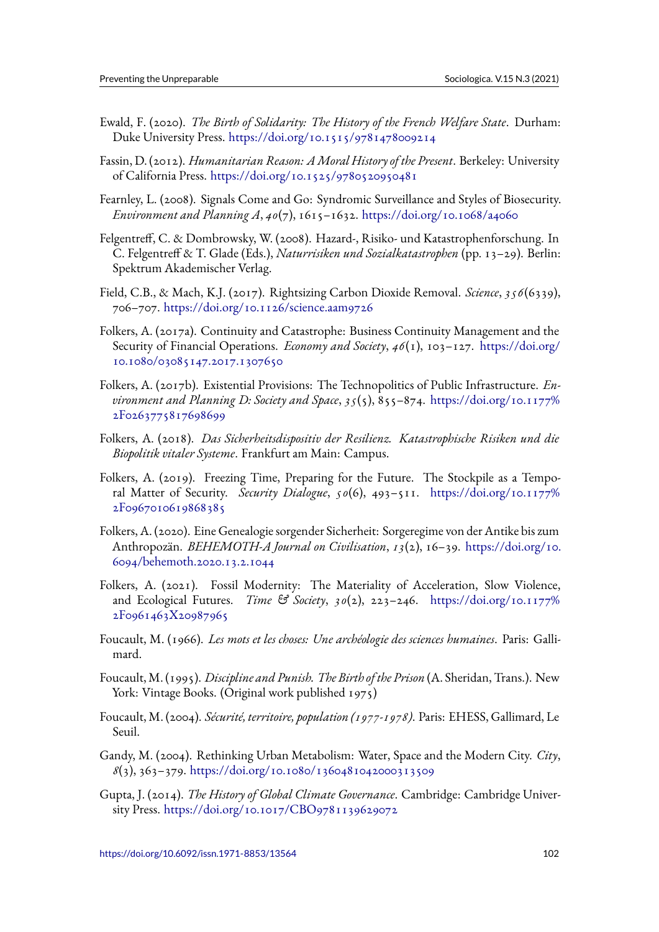- Ewald, F. (2020). *The Birth of Solidarity: The History of the French Welfare State*. Durham: Duke University Press. https://doi.org/10.1515/9781478009214
- Fassin, D. (2012). *Humanitarian Reason: AMoral History of the Present*. Berkeley: University of California Press. https://doi.org/10.1525/9780520950481
- Fearnley, L. (2008). Signa[ls Come and Go: Syndromic Surveillance](https://doi.org/10.1515/9781478009214) and Styles of Biosecurity. *Environment and Planning A*, *40*(7), 1615–1632. https://doi.org/10.1068/a4060
- Felgentreff, C. & Do[mbrowsky, W. \(2008\). Hazard-, Risiko- und](https://doi.org/10.1525/9780520950481) Katastrophenforschung. In C. Felgentreff & T. Glade (Eds.), *Naturrisiken und Sozialkatastrophen* (pp. 13–29). Berlin: Spektrum Akademischer Verlag.
- Field, C.B., & Mach, K.J. (2017). Rightsizing Carbon Dioxide Removal. *Science*, *356*(6339), 706–707. https://doi.org/10.1126/science.aam9726
- Folkers, A. (2017a). Continuity and Catastrophe: Business Continuity Management and the Security of Financial Operations. *Economy and Society*, *46*(1), 103–127. https://doi.org/ 10.1080/[03085147.2017.1307650](https://doi.org/10.1126/science.aam9726)
- Folkers, A. (2017b). Existential Provisions: The Technopolitics of Public Infrastructure. *Environment and Planning D: Society and Space*, *35*(5), 855–874. https://d[oi.org/10.1177%](https://doi.org/10.1080/03085147.2017.1307650) [2F0263775817698699](https://doi.org/10.1080/03085147.2017.1307650)
- Folkers, A. (2018). *Das Sicherheitsdispositiv der Resilienz. Katastrophische Risiken und die Biopolitik vitaler Systeme*. Frankfurt am Main: Campus.
- Fo[lkers, A. \(2019\). Freez](https://doi.org/10.1177%2F0263775817698699)ing Time, Preparing for the Future. The Stockpile as a Temporal Matter of Security. *Security Dialogue*, *50*(6), 493–511. https://doi.org/10.1177% 2F0967010619868385
- Folkers, A. (2020). Eine Genealogie sorgender Sicherheit: Sorgeregime von der Antike bis zum Anthropozän. *BEHEMOTH-A Journal on Civilisation*, *13*(2), 16–39. [https://doi.org/10.](https://doi.org/10.1177%2F0967010619868385) [6094/behemoth.2020.1](https://doi.org/10.1177%2F0967010619868385)3.2.1044
- Folkers, A. (2021). Fossil Modernity: The Materiality of Acceleration, Slow Violence, and Ecological Futures. *Time & Society*, *30*(2), 223–246. https:/[/doi.org/10.1177%](https://doi.org/10.6094/behemoth.2020.13.2.1044) [2F0961463X20987965](https://doi.org/10.6094/behemoth.2020.13.2.1044)
- Foucault, M. (1966). *Les mots et les choses: Une archéologie des sciences humaines*. Paris: Gallimard.
- Fo[ucault, M. \(1995\).](https://doi.org/10.1177%2F0961463X20987965) *Discipline and Punish. The Birth of the Prison* (A. Sheridan, Trans.). New York: Vintage Books. (Original work published 1975)
- Foucault, M. (2004). *Sécurité, territoire, population (1977-1978)*. Paris: EHESS, Gallimard, Le Seuil.
- Gandy, M. (2004). Rethinking Urban Metabolism: Water, Space and the Modern City. *City*, *8*(3), 363–379. https://doi.org/10.1080/1360481042000313509
- Gupta, J. (2014). *The History of Global Climate Governance*. Cambridge: Cambridge University Press. https://doi.org/10.1017/CBO9781139629072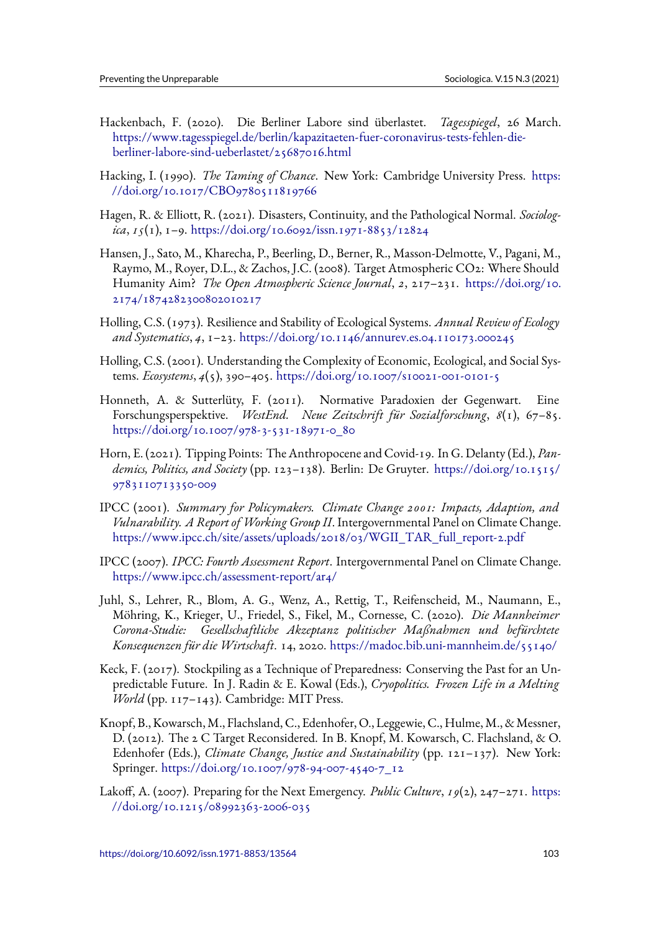- Hackenbach, F. (2020). Die Berliner Labore sind überlastet. *Tagesspiegel*, 26 March. https://www.tagesspiegel.de/berlin/kapazitaeten-fuer-coronavirus-tests-fehlen-dieberliner-labore-sind-ueberlastet/25687016.html
- Hacking, I. (1990). *The Taming of Chance*. New York: Cambridge University Press. https: [//doi.org/10.1017/CBO9780511819766](https://www.tagesspiegel.de/berlin/kapazitaeten-fuer-coronavirus-tests-fehlen-die-berliner-labore-sind-ueberlastet/25687016.html)
- H[agen, R. & Elliott, R. \(2021\). Disasters, Continu](https://www.tagesspiegel.de/berlin/kapazitaeten-fuer-coronavirus-tests-fehlen-die-berliner-labore-sind-ueberlastet/25687016.html)ity, and the Pathological Normal. *Sociologica*, *15*(1), 1–9. https://doi.org/10.6092/issn.1971-8853/12824
- H[ansen, J., Sato, M., Kharecha, P., Beerling,](https://doi.org/10.1017/CBO9780511819766) D., Berner, R., Masson-Delmotte, V., Pagani, M., Raymo, M., Royer, D.L., & Zachos, J.C. (2008). Target Atmospheric CO2: Where Should Humanity Aim? *[The Open Atmospheric Science Journal](https://doi.org/10.6092/issn.1971-8853/12824)*, *2*, 217–231. https://doi.org/10. 2174/1874282300802010217
- Holling, C.S. (1973). Resilience and Stability of Ecological Systems. *Annual Review of Ecology and Systematics*, *4*, 1–23. https://doi.org/10.1146/annurev.es.04.1101[73.000245](https://doi.org/10.2174/1874282300802010217)
- H[olling, C.S. \(2001\). Understand](https://doi.org/10.2174/1874282300802010217)ing the Complexity of Economic, Ecological, and Social Systems. *Ecosystems*, *4*(5), 390–405. https://doi.org/10.1007/s10021-001-0101-5
- Honneth, A. & Sutterlüt[y, F. \(2011\). Normative Paradoxien der Gegenwart](https://doi.org/10.1146/annurev.es.04.110173.000245). Eine Forschungsperspektive. *WestEnd. Neue Zeitschrift für Sozialforschung*, *8*(1), 67–85. https://doi.org/10.1007/978-3-[531-18971-0\\_80](https://doi.org/10.1007/s10021-001-0101-5)
- Horn, E. (2021). Tipping Points: The Anthropocene and Covid-19. In G. Delanty (Ed.), *Pandemics, Politics, and Society* (pp. 123–138). Berlin: De Gruyter. https://doi.org/10.1515/ [9783110713350-009](https://doi.org/10.1007/978-3-531-18971-0_80)
- IPCC (2001). *Summary for Policymakers. Climate Change 2001: Impacts, Adaption, and Vulnarability. A Report of Working Group II*. Intergovernmental [Panel on Climate Change.](https://doi.org/10.1515/9783110713350-009) [https://www.ipcc.ch](https://doi.org/10.1515/9783110713350-009)/site/assets/uploads/2018/03/WGII\_TAR\_full\_report-2.pdf
- IPCC (2007). *IPCC: Fourth Assessment Report*. Intergovernmental Panel on Climate Change. https://www.ipcc.ch/assessment-report/ar4/
- Ju[hl, S., Lehrer, R., Blom, A. G., Wenz, A., Rettig, T., Reifenscheid, M., Nauma](https://www.ipcc.ch/site/assets/uploads/2018/03/WGII_TAR_full_report-2.pdf)nn, E., Möhring, K., Krieger, U., Friedel, S., Fikel, M., Cornesse, C. (2020). *Die Mannheimer [Corona-Studie: Gesellschaftliche Akzeptanz](https://www.ipcc.ch/assessment-report/ar4/) politischer Maßnahmen und befürchtete Konsequenzen für die Wirtschaft*. 14, 2020. https://madoc.bib.uni-mannheim.de/55140/
- Keck, F. (2017). Stockpiling as a Technique of Preparedness: Conserving the Past for an Unpredictable Future. In J. Radin & E. Kowal (Eds.), *Cryopolitics. Frozen Life in a Melting World* (pp. 117–143). Cambridge: MIT Pr[ess.](https://madoc.bib.uni-mannheim.de/55140/)
- Knopf, B., Kowarsch,M., Flachsland, C., Edenhofer, O., Leggewie, C., Hulme,M., &Messner, D. (2012). The 2 C Target Reconsidered. In B. Knopf, M. Kowarsch, C. Flachsland, & O. Edenhofer (Eds.), *Climate Change, Justice and Sustainability* (pp. 121–137). New York: Springer. https://doi.org/10.1007/978-94-007-4540-7\_12
- Lakoff, A. (2007). Preparing for the Next Emergency. *Public Culture*, *19*(2), 247–271. https: //doi.org/10.1215/08992363-2006-035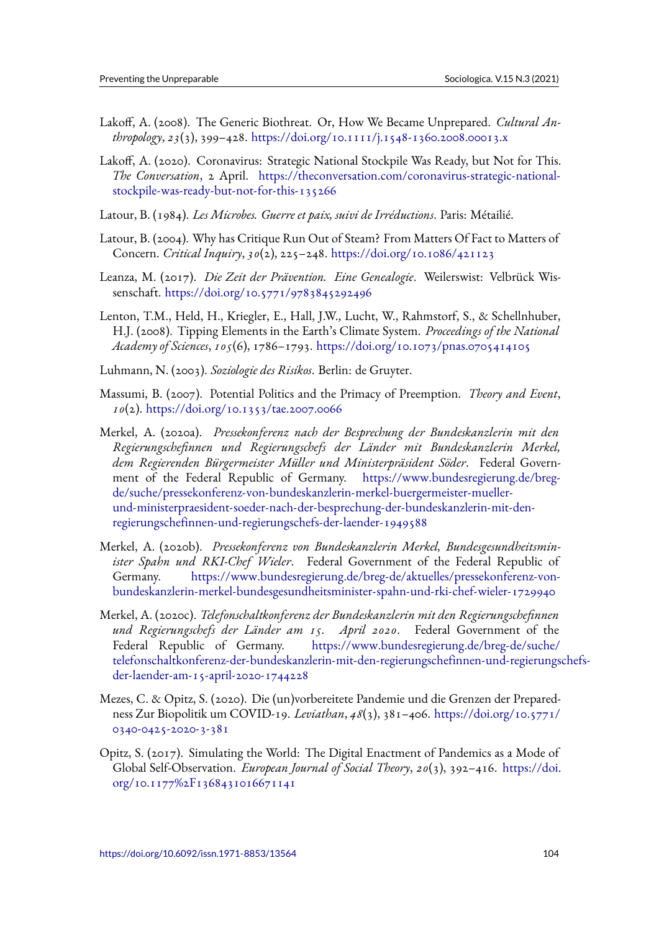- Lakoff, A. (2008). The Generic Biothreat. Or, How We Became Unprepared. *Cultural Anthropology*, *23*(3), 399–428. https://doi.org/10.1111/j.1548-1360.2008.00013.x
- Lakoff, A. (2020). Coronavirus: Strategic National Stockpile Was Ready, but Not for This. *The Conversation*, 2 April. https://theconversation.com/coronavirus-strategic-nationalstockpile-was-ready-but-no[t-for-this-135266](https://doi.org/10.1111/j.1548-1360.2008.00013.x)
- Latour, B. (1984). *Les Microbes. Guerre et paix, suivi de Irréductions*. Paris: Métailié.
- La[tour, B. \(2004\). Why has Critique Run Out of Steam? From Matters Of Fact to Matters of](https://theconversation.com/coronavirus-strategic-national-stockpile-was-ready-but-not-for-this-135266) Concern. *Critical Inquiry*, *30*(2), 225–248. https://doi.org/10.1086/421123
- Leanza, M. (2017). *Die Zeit der Prävention. Eine Genealogie*. Weilerswist: Velbrück Wissenschaft. https://doi.org/10.5771/9783845292496
- Lenton, T.M., Held, H., Kriegler, E., Hall, J.[W., Lucht, W., Rahmstorf, S., & S](https://doi.org/10.1086/421123)chellnhuber, H.J. (2008). Tipping Elements in the Earth's Climate System. *Proceedings of the National Academy of Sciences*, *105*[\(6\), 1786–1793.](https://doi.org/10.5771/9783845292496) https://doi.org/10.1073/pnas.0705414105
- Luhmann, N. (2003). *Soziologie des Risikos*. Berlin: de Gruyter.
- Massumi, B. (2007). Potential Politics an[d the Primacy of Preemption.](https://doi.org/10.1073/pnas.0705414105) *Theory and Event*, *10*(2). https://doi.org/10.1353/tae.2007.0066
- Merkel, A. (2020a). *Pressekonferenz nach der Besprechung der Bundeskanzlerin mit den Regierungschefinnen und Regierungschefs der Länder mit Bundeskanzlerin Merkel, dem [Regierenden Bürgermeister Müller und](https://doi.org/10.1353/tae.2007.0066) Ministerpräsident Söder*. Federal Government of the Federal Republic of Germany. https://www.bundesregierung.de/bregde/suche/pressekonferenz-von-bundeskanzlerin-merkel-buergermeister-muellerund-ministerpraesident-soeder-nach-der-besprechung-der-bundeskanzlerin-mit-denregierungschefinnen-und-regierungschefs-der-lae[nder-1949588](https://www.bundesregierung.de/breg-de/suche/pressekonferenz-von-bundeskanzlerin-merkel-buergermeister-mueller-und-ministerpraesident-soeder-nach-der-besprechung-der-bundeskanzlerin-mit-den-regierungschefinnen-und-regierungschefs-der-laender-1949588)
- Merkel, A. (2020b). *[Pressekonferenz von Bundeskanzlerin Merkel, Bundesgesund](https://www.bundesregierung.de/breg-de/suche/pressekonferenz-von-bundeskanzlerin-merkel-buergermeister-mueller-und-ministerpraesident-soeder-nach-der-besprechung-der-bundeskanzlerin-mit-den-regierungschefinnen-und-regierungschefs-der-laender-1949588)heitsminister Spahn und RKI-Chef Wieler*[. Federal Government of the Federal Republi](https://www.bundesregierung.de/breg-de/suche/pressekonferenz-von-bundeskanzlerin-merkel-buergermeister-mueller-und-ministerpraesident-soeder-nach-der-besprechung-der-bundeskanzlerin-mit-den-regierungschefinnen-und-regierungschefs-der-laender-1949588)c of Germany. [https://www.bundesregierung.de/breg-de/aktu](https://www.bundesregierung.de/breg-de/suche/pressekonferenz-von-bundeskanzlerin-merkel-buergermeister-mueller-und-ministerpraesident-soeder-nach-der-besprechung-der-bundeskanzlerin-mit-den-regierungschefinnen-und-regierungschefs-der-laender-1949588)elles/pressekonferenz-vonbundeskanzlerin-merkel-bundesgesundheitsminister-spahn-und-rki-chef-wieler-1729940
- Merkel, A. (2020c). *Telefonschaltkonferenz der Bundeskanzlerin mit den Regierungschefinnen und Regierung[schefs der Länder am 15. April 2020](https://www.bundesregierung.de/breg-de/aktuelles/pressekonferenz-von-bundeskanzlerin-merkel-bundesgesundheitsminister-spahn-und-rki-chef-wieler-1729940)*. Federal Government of the Federal Republic of Germany. [https://www.bundesregierung.de/breg-de/suche/](https://www.bundesregierung.de/breg-de/aktuelles/pressekonferenz-von-bundeskanzlerin-merkel-bundesgesundheitsminister-spahn-und-rki-chef-wieler-1729940) telefonschaltkonferenz-der-bundeskanzlerin-mit-den-regierungschefinnen-und-regierungschefsder-laender-am-15-april-2020-1744228
- Mezes, C. & Opitz, S. (2020). Die (un)vor[bereitete Pandemie und die Grenzen der Prepared](https://www.bundesregierung.de/breg-de/suche/telefonschaltkonferenz-der-bundeskanzlerin-mit-den-regierungschefinnen-und-regierungschefs-der-laender-am-15-april-2020-1744228)[ness Zur Biopolitik um COVID-19.](https://www.bundesregierung.de/breg-de/suche/telefonschaltkonferenz-der-bundeskanzlerin-mit-den-regierungschefinnen-und-regierungschefs-der-laender-am-15-april-2020-1744228) *Leviathan*, *48*(3), 381–406. https://doi.org/10.5771/ [0340-0425-2020-3-381](https://www.bundesregierung.de/breg-de/suche/telefonschaltkonferenz-der-bundeskanzlerin-mit-den-regierungschefinnen-und-regierungschefs-der-laender-am-15-april-2020-1744228)
- Opitz, S. (2017). Simulating the World: The Digital Enactment of Pandemics as a Mode of Global Self-Observation. *European Journal of Social Theory*, *20*([3\), 392–416.](https://doi.org/10.5771/0340-0425-2020-3-381) https://doi. [org/10.1177%2F136843](https://doi.org/10.5771/0340-0425-2020-3-381)1016671141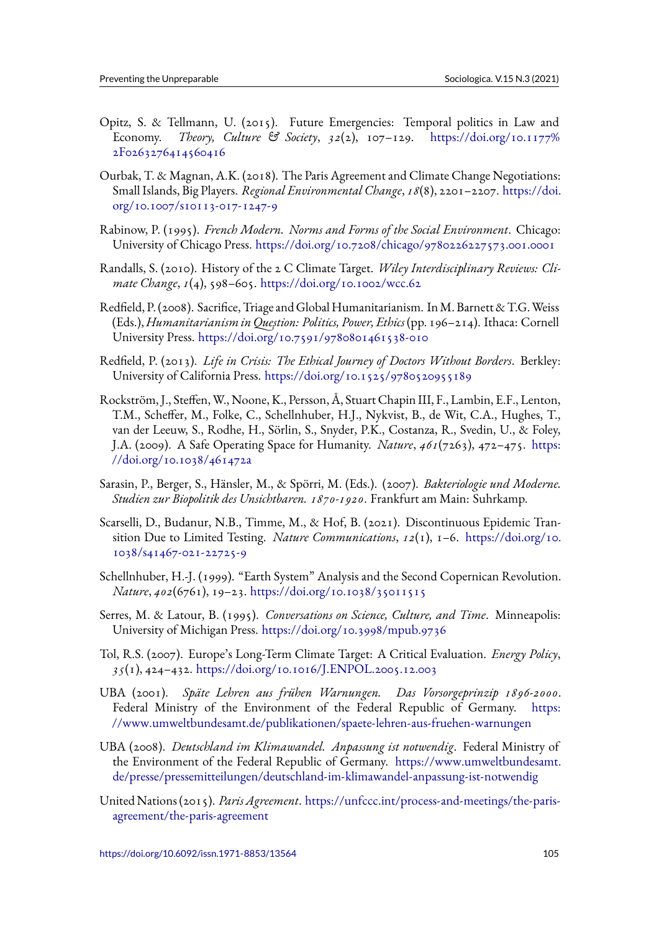- Opitz, S. & Tellmann, U. (2015). Future Emergencies: Temporal politics in Law and Economy. *Theory, Culture & Society*, *32*(2), 107–129. https://doi.org/10.1177% 2F0263276414560416
- Ourbak, T. & Magnan, A.K. (2018). The Paris Agreement and Climate Change Negotiations: Small Islands, Big Players. *Regional Environmental Change*, *18*(8[\), 2201–2207.](https://doi.org/10.1177%2F0263276414560416) https://doi. [org/10.1007/s10113-01](https://doi.org/10.1177%2F0263276414560416)7-1247-9
- Rabinow, P. (1995). *French Modern. Norms and Forms of the Social Environment*. Chicago: University of Chicago Press. https://doi.org/10.7208/chicago/978022622757[3.001.0001](https://doi.org/10.1007/s10113-017-1247-9)
- R[andalls, S. \(2010\). History of the 2](https://doi.org/10.1007/s10113-017-1247-9) C Climate Target. *Wiley Interdisciplinary Reviews: Climate Change*, *1*(4), 598–605. https://doi.org/10.1002/wcc.62
- Redfield, P. (2008). Sacrifice, Tr[iage and Global Humanitarianism. InM. Barnett & T.G.Weiss](https://doi.org/10.7208/chicago/9780226227573.001.0001) (Eds.), *Humanitarianism in Question: Politics, Power, Ethics*(pp. 196–214). Ithaca: Cornell University Press. https://doi.[org/10.7591/9780801461538-01](https://doi.org/10.1002/wcc.62)0
- Redfield, P. (2013). *Life in Crisis: The Ethical Journey of Doctors Without Borders*. Berkley: University of California Press. https://doi.org/10.1525/9780520955189
- Rockström, J., Steff[en, W., Noone, K., Persson, Å, Stuart Chapin III](https://doi.org/10.7591/9780801461538-010), F., Lambin, E.F., Lenton, T.M., Scheffer, M., Folke, C., Schellnhuber, H.J., Nykvist, B., de Wit, C.A., Hughes, T., van der Leeuw, S., Rodhe, H.[, Sörlin, S., Snyder, P.K., Costanza, R., Sv](https://doi.org/10.1525/9780520955189)edin, U., & Foley, J.A. (2009). A Safe Operating Space for Humanity. *Nature*, *461*(7263), 472–475. https: //doi.org/10.1038/461472a
- Sarasin, P., Berger, S., Hänsler, M., & Spörri, M. (Eds.). (2007). *Bakteriologie und Moderne. Studien zur Biopolitik des Unsichtbaren. 1870-1920*. Frankfurt am Main: Suhrkamp.
- Sc[arselli, D., Budanur, N.B., T](https://doi.org/10.1038/461472a)imme, M., & Hof, B. (2021). Discontinuous Epidemic Transition Due to Limited Testing. *Nature Communications*, *12*(1), 1–6. https://doi.org/10. 1038/s41467-021-22725-9
- Schellnhuber, H.-J. (1999). "Earth System" Analysis and the Second Copernican Revolution. *Nature*, *402*(6761), 19–23. https://doi.org/10.1038/35011515
- Se[rres, M. & Latour, B. \(1995](https://doi.org/10.1038/s41467-021-22725-9)). *Conversations on Science, Culture, and Time*. Minneapolis: University of Michigan Press. https://doi.org/10.3998/mpub.9736
- Tol, R.S. (2007). Europe's Lo[ng-Term Climate Target: A Critical](https://doi.org/10.1038/35011515) Evaluation. *Energy Policy*, *35*(1), 424–432. https://doi.org/10.1016/J.ENPOL.2005.12.003
- UBA (2001). *Späte Lehren [aus frühen Warnungen. Das Vorso](https://doi.org/10.3998/mpub.9736)rgeprinzip 1896-2000*. Federal Ministry of the Environment of the Federal Republic of Germany. https: //www.umwelt[bundesamt.de/publikationen/spaete-lehren-aus-fr](https://doi.org/10.1016/J.ENPOL.2005.12.003)uehen-warnungen
- UBA (2008). *Deutschland im Klimawandel. Anpassung ist notwendig*. Federal Ministry of the Environment of the Federal Republic of Germany. https://www.umweltbund[esamt.](https://www.umweltbundesamt.de/publikationen/spaete-lehren-aus-fruehen-warnungen) [de/presse/pressemitteilungen/deutschland-im-klimawandel-anpassung-ist-notwendi](https://www.umweltbundesamt.de/publikationen/spaete-lehren-aus-fruehen-warnungen)g
- United Nations (2015). *Paris Agreement*. https://unfccc.int/process-and-meetings/the-parisagreement/the-paris-agreement